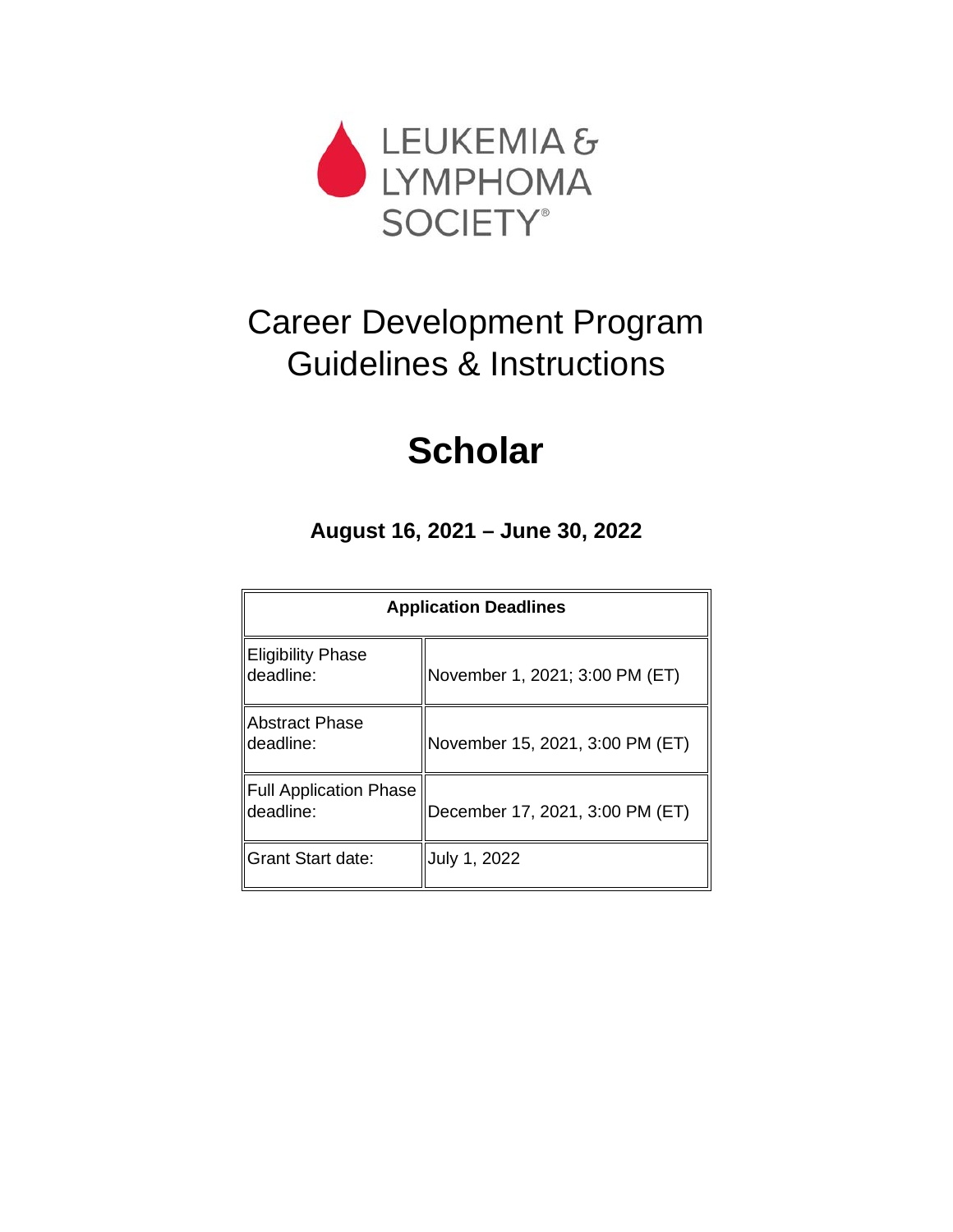

# Career Development Program Guidelines & Instructions

# **Scholar**

**August 16, 2021 – June 30, 2022**

| <b>Application Deadlines</b>          |                                 |  |
|---------------------------------------|---------------------------------|--|
| <b>Eligibility Phase</b><br>deadline: | November 1, 2021; 3:00 PM (ET)  |  |
| <b>IAbstract Phase</b><br>deadline:   | November 15, 2021, 3:00 PM (ET) |  |
| Full Application Phase<br>deadline:   | December 17, 2021, 3:00 PM (ET) |  |
| <b>IGrant Start date:</b>             | July 1, 2022                    |  |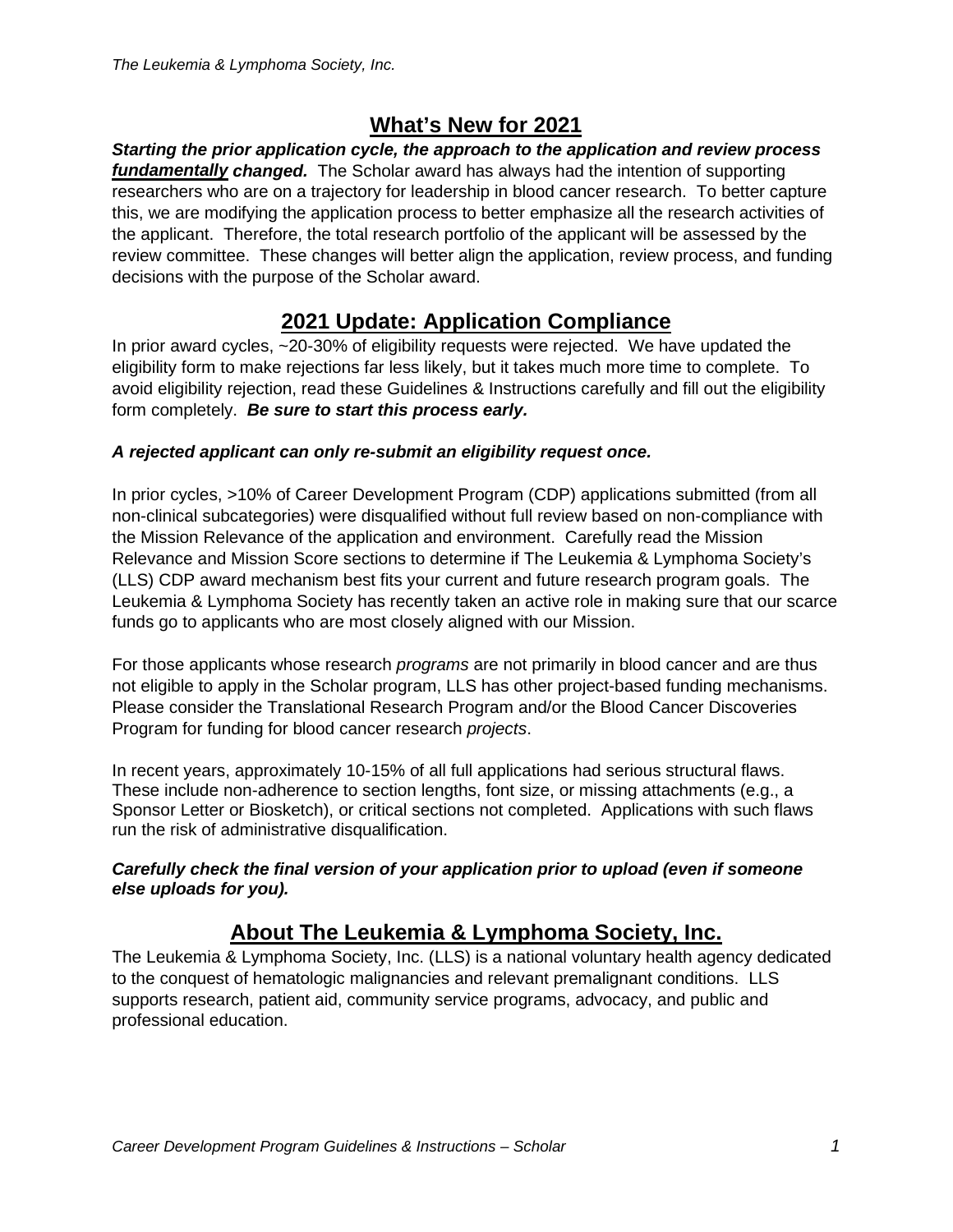# **What's New for 2021**

*Starting the prior application cycle, the approach to the application and review process fundamentally changed.* The Scholar award has always had the intention of supporting researchers who are on a trajectory for leadership in blood cancer research. To better capture this, we are modifying the application process to better emphasize all the research activities of the applicant. Therefore, the total research portfolio of the applicant will be assessed by the review committee. These changes will better align the application, review process, and funding decisions with the purpose of the Scholar award.

# **2021 Update: Application Compliance**

In prior award cycles, ~20-30% of eligibility requests were rejected. We have updated the eligibility form to make rejections far less likely, but it takes much more time to complete. To avoid eligibility rejection, read these Guidelines & Instructions carefully and fill out the eligibility form completely. *Be sure to start this process early.*

# *A rejected applicant can only re-submit an eligibility request once.*

In prior cycles, >10% of Career Development Program (CDP) applications submitted (from all non-clinical subcategories) were disqualified without full review based on non-compliance with the Mission Relevance of the application and environment. Carefully read the Mission Relevance and Mission Score sections to determine if The Leukemia & Lymphoma Society's (LLS) CDP award mechanism best fits your current and future research program goals. The Leukemia & Lymphoma Society has recently taken an active role in making sure that our scarce funds go to applicants who are most closely aligned with our Mission.

For those applicants whose research *programs* are not primarily in blood cancer and are thus not eligible to apply in the Scholar program, LLS has other project-based funding mechanisms. Please consider the Translational Research Program and/or the Blood Cancer Discoveries Program for funding for blood cancer research *projects*.

In recent years, approximately 10-15% of all full applications had serious structural flaws. These include non-adherence to section lengths, font size, or missing attachments (e.g., a Sponsor Letter or Biosketch), or critical sections not completed. Applications with such flaws run the risk of administrative disqualification.

#### *Carefully check the final version of your application prior to upload (even if someone else uploads for you).*

# **About The Leukemia & Lymphoma Society, Inc.**

The Leukemia & Lymphoma Society, Inc. (LLS) is a national voluntary health agency dedicated to the conquest of hematologic malignancies and relevant premalignant conditions. LLS supports research, patient aid, community service programs, advocacy, and public and professional education.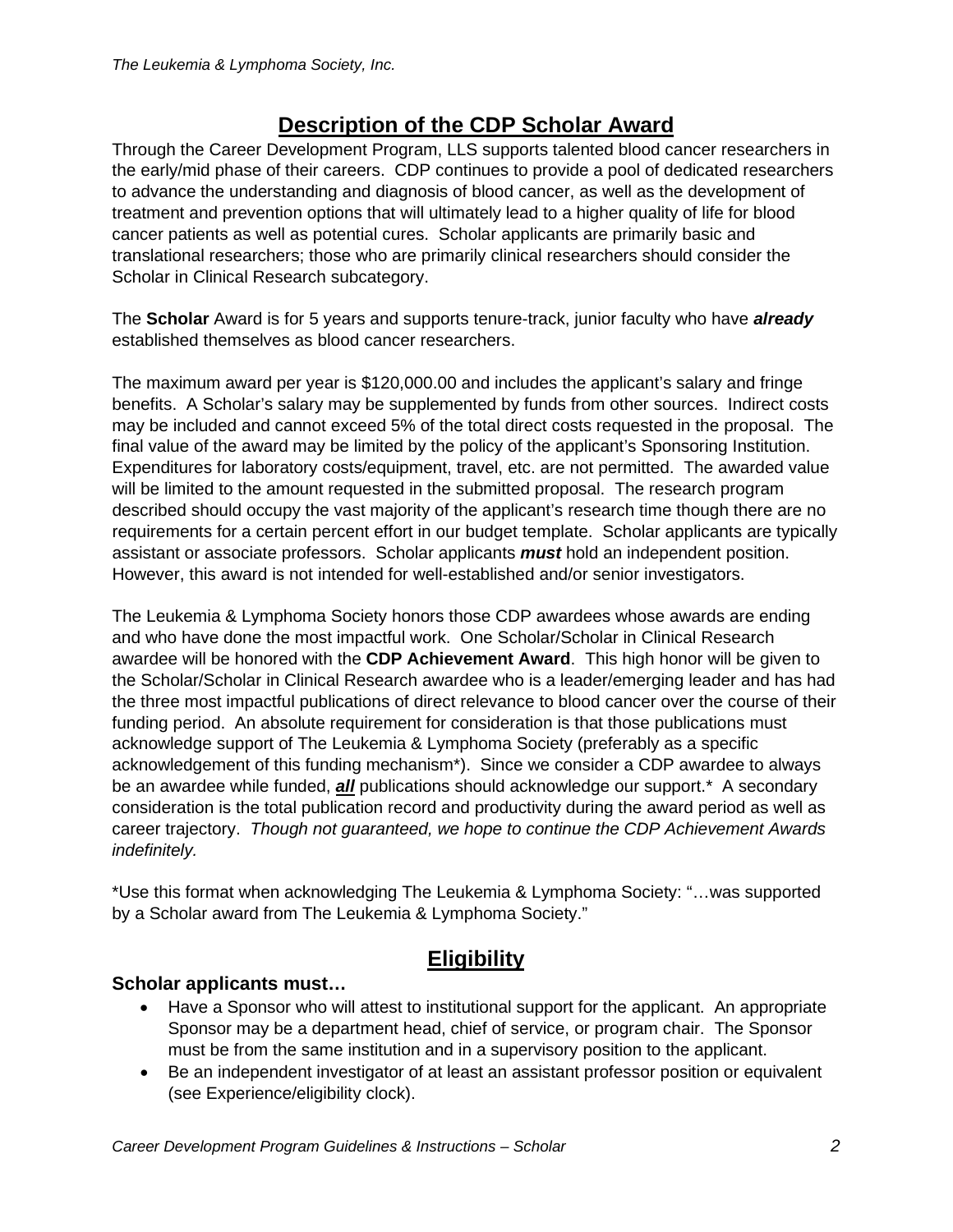# **Description of the CDP Scholar Award**

Through the Career Development Program, LLS supports talented blood cancer researchers in the early/mid phase of their careers. CDP continues to provide a pool of dedicated researchers to advance the understanding and diagnosis of blood cancer, as well as the development of treatment and prevention options that will ultimately lead to a higher quality of life for blood cancer patients as well as potential cures. Scholar applicants are primarily basic and translational researchers; those who are primarily clinical researchers should consider the Scholar in Clinical Research subcategory.

The **Scholar** Award is for 5 years and supports tenure-track, junior faculty who have *already* established themselves as blood cancer researchers.

The maximum award per year is \$120,000.00 and includes the applicant's salary and fringe benefits. A Scholar's salary may be supplemented by funds from other sources. Indirect costs may be included and cannot exceed 5% of the total direct costs requested in the proposal. The final value of the award may be limited by the policy of the applicant's Sponsoring Institution. Expenditures for laboratory costs/equipment, travel, etc. are not permitted. The awarded value will be limited to the amount requested in the submitted proposal. The research program described should occupy the vast majority of the applicant's research time though there are no requirements for a certain percent effort in our budget template. Scholar applicants are typically assistant or associate professors. Scholar applicants *must* hold an independent position. However, this award is not intended for well-established and/or senior investigators.

The Leukemia & Lymphoma Society honors those CDP awardees whose awards are ending and who have done the most impactful work. One Scholar/Scholar in Clinical Research awardee will be honored with the **CDP Achievement Award**. This high honor will be given to the Scholar/Scholar in Clinical Research awardee who is a leader/emerging leader and has had the three most impactful publications of direct relevance to blood cancer over the course of their funding period. An absolute requirement for consideration is that those publications must acknowledge support of The Leukemia & Lymphoma Society (preferably as a specific acknowledgement of this funding mechanism\*). Since we consider a CDP awardee to always be an awardee while funded, *all* publications should acknowledge our support.\* A secondary consideration is the total publication record and productivity during the award period as well as career trajectory. *Though not guaranteed, we hope to continue the CDP Achievement Awards indefinitely.*

\*Use this format when acknowledging The Leukemia & Lymphoma Society: "…was supported by a Scholar award from The Leukemia & Lymphoma Society."

# **Eligibility**

# **Scholar applicants must…**

- Have a Sponsor who will attest to institutional support for the applicant. An appropriate Sponsor may be a department head, chief of service, or program chair. The Sponsor must be from the same institution and in a supervisory position to the applicant.
- Be an independent investigator of at least an assistant professor position or equivalent (see Experience/eligibility clock).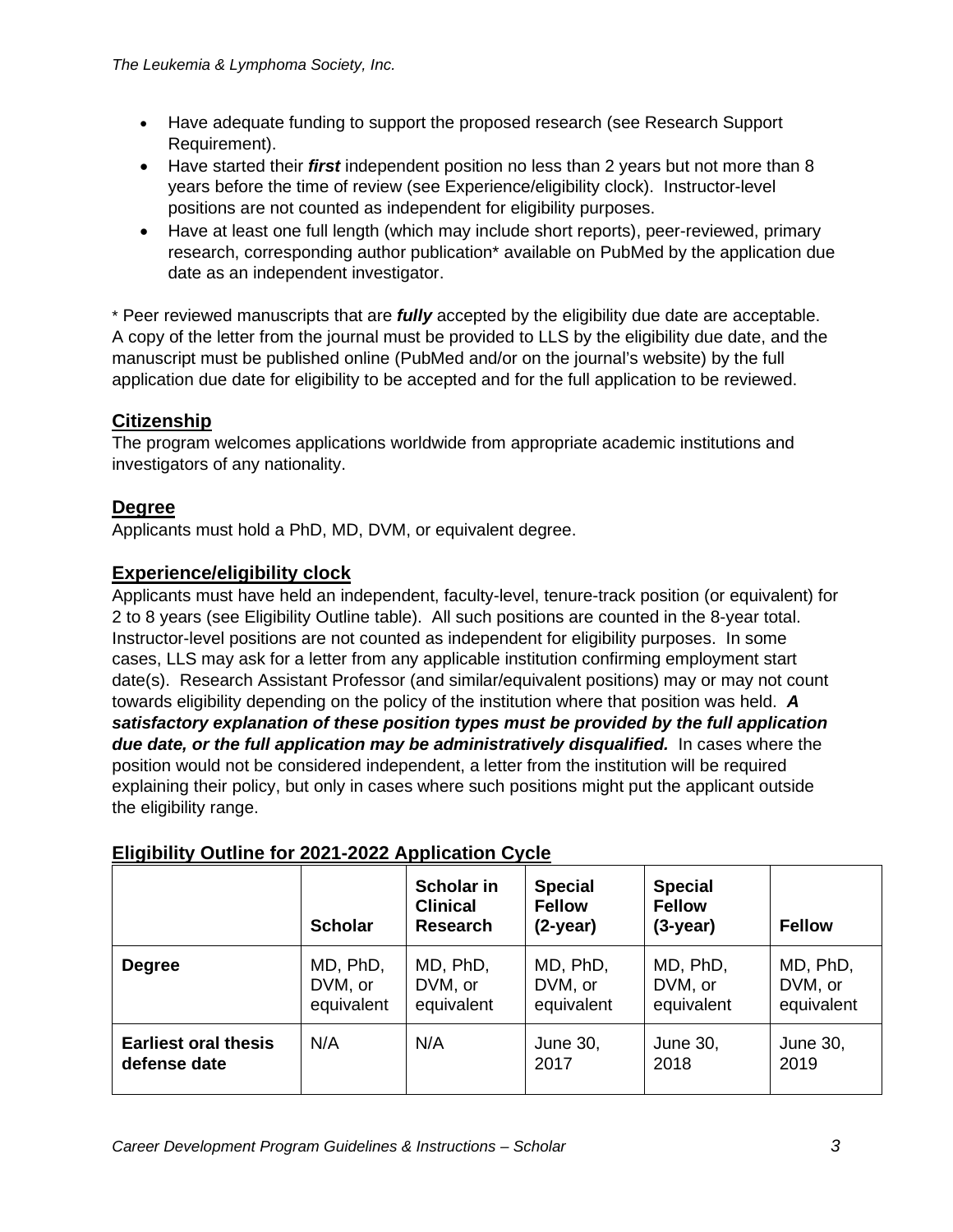- Have adequate funding to support the proposed research (see Research Support Requirement).
- Have started their *first* independent position no less than 2 years but not more than 8 years before the time of review (see Experience/eligibility clock). Instructor-level positions are not counted as independent for eligibility purposes.
- Have at least one full length (which may include short reports), peer-reviewed, primary research, corresponding author publication\* available on PubMed by the application due date as an independent investigator.

\* Peer reviewed manuscripts that are *fully* accepted by the eligibility due date are acceptable. A copy of the letter from the journal must be provided to LLS by the eligibility due date, and the manuscript must be published online (PubMed and/or on the journal's website) by the full application due date for eligibility to be accepted and for the full application to be reviewed.

# **Citizenship**

The program welcomes applications worldwide from appropriate academic institutions and investigators of any nationality.

# **Degree**

Applicants must hold a PhD, MD, DVM, or equivalent degree.

# **Experience/eligibility clock**

Applicants must have held an independent, faculty-level, tenure-track position (or equivalent) for 2 to 8 years (see Eligibility Outline table). All such positions are counted in the 8-year total. Instructor-level positions are not counted as independent for eligibility purposes. In some cases, LLS may ask for a letter from any applicable institution confirming employment start date(s). Research Assistant Professor (and similar/equivalent positions) may or may not count towards eligibility depending on the policy of the institution where that position was held. *A satisfactory explanation of these position types must be provided by the full application due date, or the full application may be administratively disqualified.* In cases where the position would not be considered independent, a letter from the institution will be required explaining their policy, but only in cases where such positions might put the applicant outside the eligibility range.

|                                             | <b>Scholar</b>                    | Scholar in<br><b>Clinical</b><br><b>Research</b> | <b>Special</b><br><b>Fellow</b><br>$(2-year)$ | <b>Special</b><br><b>Fellow</b><br>$(3-year)$ | <b>Fellow</b>                     |
|---------------------------------------------|-----------------------------------|--------------------------------------------------|-----------------------------------------------|-----------------------------------------------|-----------------------------------|
| <b>Degree</b>                               | MD, PhD,<br>DVM, or<br>equivalent | MD, PhD,<br>DVM, or<br>equivalent                | MD, PhD,<br>DVM, or<br>equivalent             | MD, PhD,<br>DVM, or<br>equivalent             | MD, PhD,<br>DVM, or<br>equivalent |
| <b>Earliest oral thesis</b><br>defense date | N/A                               | N/A                                              | June 30,<br>2017                              | June 30,<br>2018                              | June 30,<br>2019                  |

# **Eligibility Outline for 2021-2022 Application Cycle**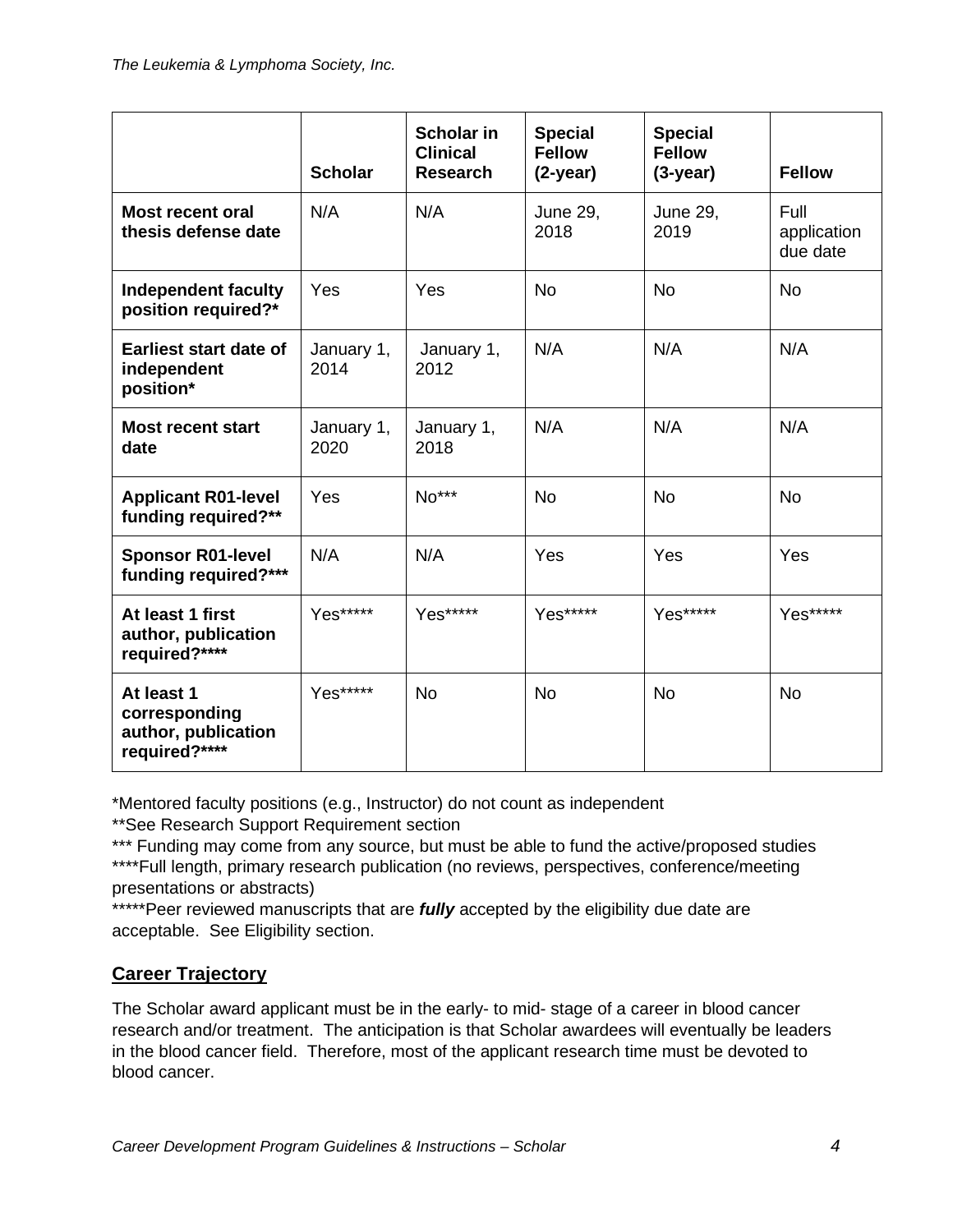|                                                                     | <b>Scholar</b>     | <b>Scholar in</b><br><b>Clinical</b><br><b>Research</b> | <b>Special</b><br><b>Fellow</b><br>$(2-year)$ | <b>Special</b><br><b>Fellow</b><br>$(3-year)$ | <b>Fellow</b>                   |
|---------------------------------------------------------------------|--------------------|---------------------------------------------------------|-----------------------------------------------|-----------------------------------------------|---------------------------------|
| <b>Most recent oral</b><br>thesis defense date                      | N/A                | N/A                                                     | <b>June 29,</b><br>2018                       | <b>June 29,</b><br>2019                       | Full<br>application<br>due date |
| <b>Independent faculty</b><br>position required?*                   | Yes                | Yes                                                     | <b>No</b>                                     | <b>No</b>                                     | <b>No</b>                       |
| <b>Earliest start date of</b><br>independent<br>position*           | January 1,<br>2014 | January 1,<br>2012                                      | N/A                                           | N/A                                           | N/A                             |
| <b>Most recent start</b><br>date                                    | January 1,<br>2020 | January 1,<br>2018                                      | N/A                                           | N/A                                           | N/A                             |
| <b>Applicant R01-level</b><br>funding required?**                   | Yes                | No***                                                   | <b>No</b>                                     | <b>No</b>                                     | <b>No</b>                       |
| <b>Sponsor R01-level</b><br>funding required?***                    | N/A                | N/A                                                     | Yes                                           | Yes                                           | Yes                             |
| At least 1 first<br>author, publication<br>required?****            | Yes*****           | Yes*****                                                | Yes*****                                      | Yes*****                                      | Yes*****                        |
| At least 1<br>corresponding<br>author, publication<br>required?**** | Yes*****           | <b>No</b>                                               | <b>No</b>                                     | <b>No</b>                                     | <b>No</b>                       |

\*Mentored faculty positions (e.g., Instructor) do not count as independent

\*\*See Research Support Requirement section

\*\*\* Funding may come from any source, but must be able to fund the active/proposed studies \*\*\*\*Full length, primary research publication (no reviews, perspectives, conference/meeting presentations or abstracts)

\*\*\*\*\*Peer reviewed manuscripts that are *fully* accepted by the eligibility due date are acceptable. See Eligibility section.

# **Career Trajectory**

The Scholar award applicant must be in the early- to mid- stage of a career in blood cancer research and/or treatment. The anticipation is that Scholar awardees will eventually be leaders in the blood cancer field. Therefore, most of the applicant research time must be devoted to blood cancer.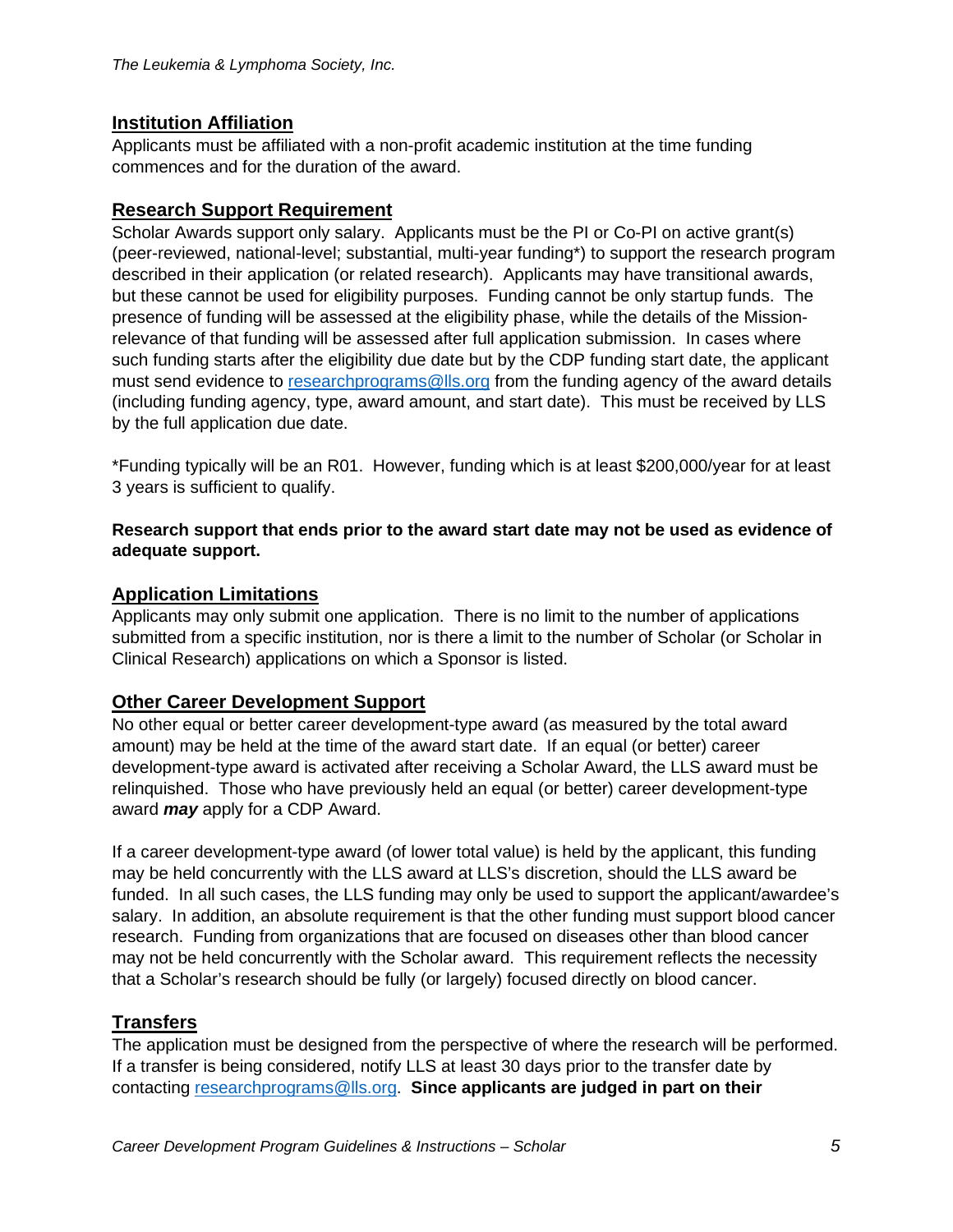# **Institution Affiliation**

Applicants must be affiliated with a non-profit academic institution at the time funding commences and for the duration of the award.

## **Research Support Requirement**

Scholar Awards support only salary. Applicants must be the PI or Co-PI on active grant(s) (peer-reviewed, national-level; substantial, multi-year funding\*) to support the research program described in their application (or related research). Applicants may have transitional awards, but these cannot be used for eligibility purposes. Funding cannot be only startup funds. The presence of funding will be assessed at the eligibility phase, while the details of the Missionrelevance of that funding will be assessed after full application submission. In cases where such funding starts after the eligibility due date but by the CDP funding start date, the applicant must send evidence to [researchprograms@lls.org](mailto:researchprograms@lls.org) from the funding agency of the award details (including funding agency, type, award amount, and start date). This must be received by LLS by the full application due date.

\*Funding typically will be an R01. However, funding which is at least \$200,000/year for at least 3 years is sufficient to qualify.

#### **Research support that ends prior to the award start date may not be used as evidence of adequate support.**

## **Application Limitations**

Applicants may only submit one application. There is no limit to the number of applications submitted from a specific institution, nor is there a limit to the number of Scholar (or Scholar in Clinical Research) applications on which a Sponsor is listed.

## **Other Career Development Support**

No other equal or better career development-type award (as measured by the total award amount) may be held at the time of the award start date. If an equal (or better) career development-type award is activated after receiving a Scholar Award, the LLS award must be relinquished. Those who have previously held an equal (or better) career development-type award *may* apply for a CDP Award.

If a career development-type award (of lower total value) is held by the applicant, this funding may be held concurrently with the LLS award at LLS's discretion, should the LLS award be funded. In all such cases, the LLS funding may only be used to support the applicant/awardee's salary. In addition, an absolute requirement is that the other funding must support blood cancer research. Funding from organizations that are focused on diseases other than blood cancer may not be held concurrently with the Scholar award. This requirement reflects the necessity that a Scholar's research should be fully (or largely) focused directly on blood cancer.

# **Transfers**

The application must be designed from the perspective of where the research will be performed. If a transfer is being considered, notify LLS at least 30 days prior to the transfer date by contacting [researchprograms@lls.org.](mailto:researchprograms@lls.org) **Since applicants are judged in part on their**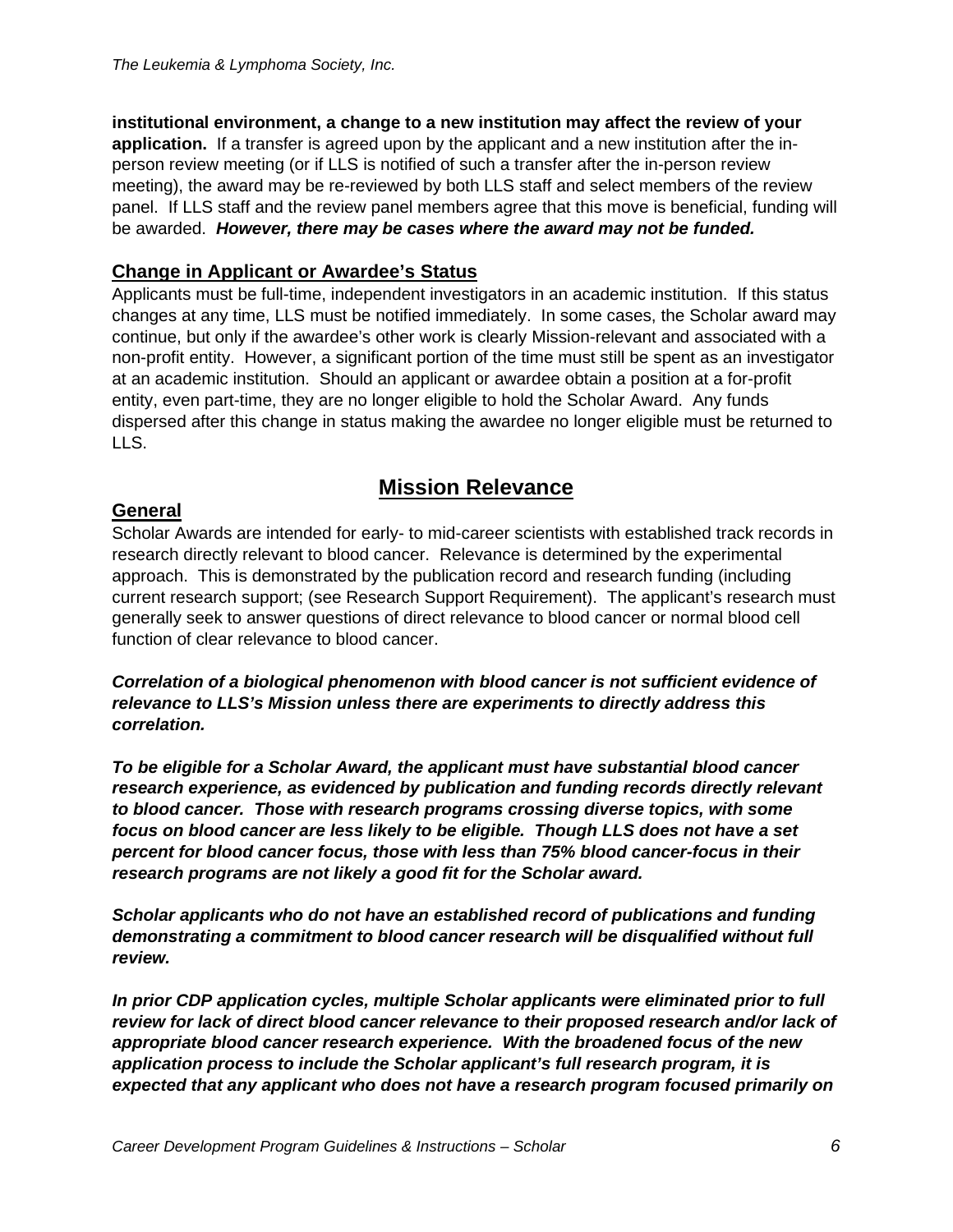**institutional environment, a change to a new institution may affect the review of your application.** If a transfer is agreed upon by the applicant and a new institution after the inperson review meeting (or if LLS is notified of such a transfer after the in-person review meeting), the award may be re-reviewed by both LLS staff and select members of the review panel. If LLS staff and the review panel members agree that this move is beneficial, funding will be awarded. *However, there may be cases where the award may not be funded.*

# **Change in Applicant or Awardee's Status**

Applicants must be full-time, independent investigators in an academic institution. If this status changes at any time, LLS must be notified immediately. In some cases, the Scholar award may continue, but only if the awardee's other work is clearly Mission-relevant and associated with a non-profit entity. However, a significant portion of the time must still be spent as an investigator at an academic institution. Should an applicant or awardee obtain a position at a for-profit entity, even part-time, they are no longer eligible to hold the Scholar Award. Any funds dispersed after this change in status making the awardee no longer eligible must be returned to LLS.

# **Mission Relevance**

# **General**

Scholar Awards are intended for early- to mid-career scientists with established track records in research directly relevant to blood cancer. Relevance is determined by the experimental approach. This is demonstrated by the publication record and research funding (including current research support; (see Research Support Requirement). The applicant's research must generally seek to answer questions of direct relevance to blood cancer or normal blood cell function of clear relevance to blood cancer.

*Correlation of a biological phenomenon with blood cancer is not sufficient evidence of relevance to LLS's Mission unless there are experiments to directly address this correlation.*

*To be eligible for a Scholar Award, the applicant must have substantial blood cancer research experience, as evidenced by publication and funding records directly relevant to blood cancer. Those with research programs crossing diverse topics, with some focus on blood cancer are less likely to be eligible. Though LLS does not have a set percent for blood cancer focus, those with less than 75% blood cancer-focus in their research programs are not likely a good fit for the Scholar award.*

*Scholar applicants who do not have an established record of publications and funding demonstrating a commitment to blood cancer research will be disqualified without full review.*

*In prior CDP application cycles, multiple Scholar applicants were eliminated prior to full review for lack of direct blood cancer relevance to their proposed research and/or lack of appropriate blood cancer research experience. With the broadened focus of the new application process to include the Scholar applicant's full research program, it is expected that any applicant who does not have a research program focused primarily on*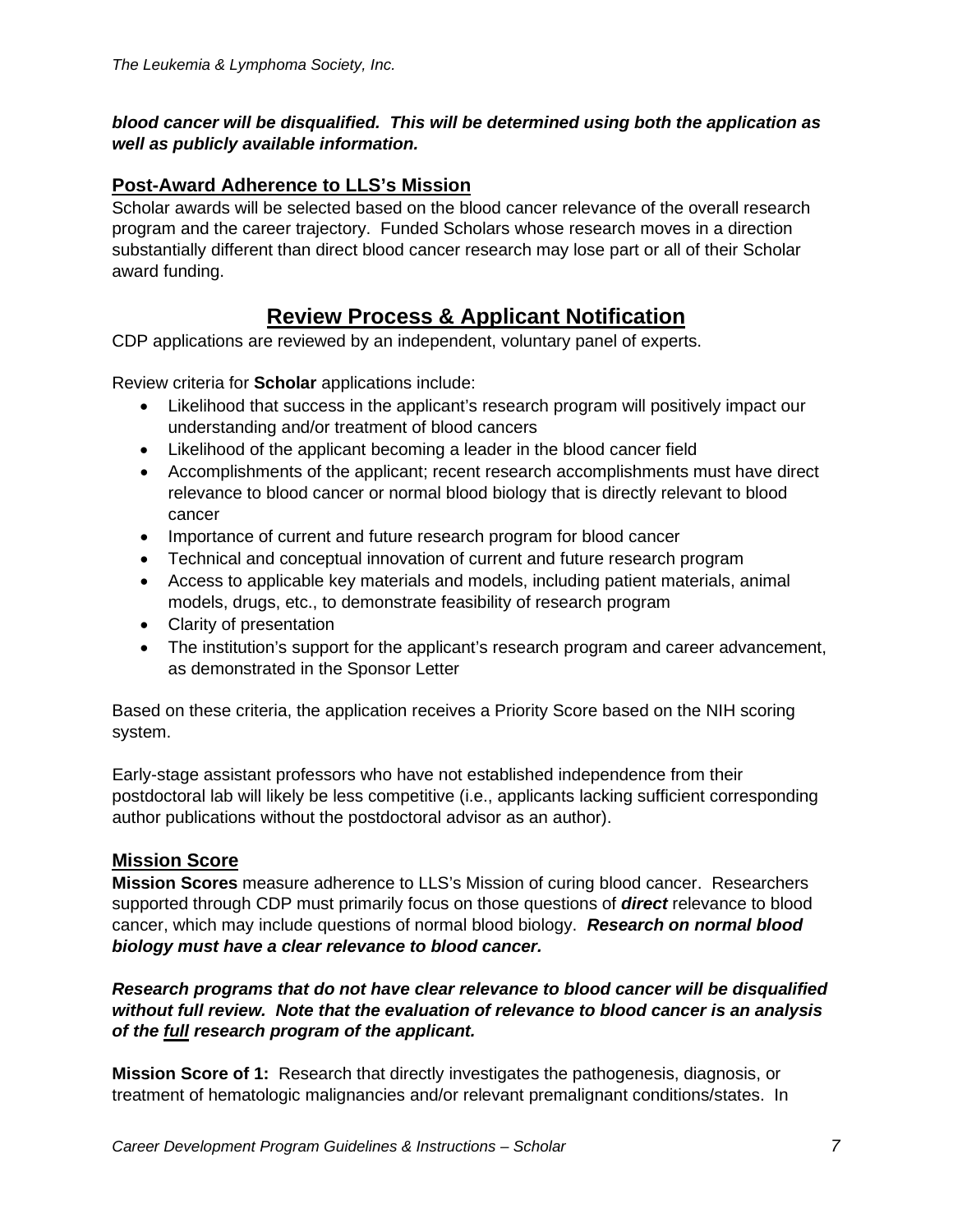#### *blood cancer will be disqualified. This will be determined using both the application as well as publicly available information.*

# **Post-Award Adherence to LLS's Mission**

Scholar awards will be selected based on the blood cancer relevance of the overall research program and the career trajectory. Funded Scholars whose research moves in a direction substantially different than direct blood cancer research may lose part or all of their Scholar award funding.

# **Review Process & Applicant Notification**

CDP applications are reviewed by an independent, voluntary panel of experts.

Review criteria for **Scholar** applications include:

- Likelihood that success in the applicant's research program will positively impact our understanding and/or treatment of blood cancers
- Likelihood of the applicant becoming a leader in the blood cancer field
- Accomplishments of the applicant; recent research accomplishments must have direct relevance to blood cancer or normal blood biology that is directly relevant to blood cancer
- Importance of current and future research program for blood cancer
- Technical and conceptual innovation of current and future research program
- Access to applicable key materials and models, including patient materials, animal models, drugs, etc., to demonstrate feasibility of research program
- Clarity of presentation
- The institution's support for the applicant's research program and career advancement, as demonstrated in the Sponsor Letter

Based on these criteria, the application receives a Priority Score based on the NIH scoring system.

Early-stage assistant professors who have not established independence from their postdoctoral lab will likely be less competitive (i.e., applicants lacking sufficient corresponding author publications without the postdoctoral advisor as an author).

## **Mission Score**

**Mission Scores** measure adherence to LLS's Mission of curing blood cancer. Researchers supported through CDP must primarily focus on those questions of *direct* relevance to blood cancer, which may include questions of normal blood biology. *Research on normal blood biology must have a clear relevance to blood cancer.*

#### *Research programs that do not have clear relevance to blood cancer will be disqualified without full review. Note that the evaluation of relevance to blood cancer is an analysis of the full research program of the applicant.*

**Mission Score of 1:** Research that directly investigates the pathogenesis, diagnosis, or treatment of hematologic malignancies and/or relevant premalignant conditions/states. In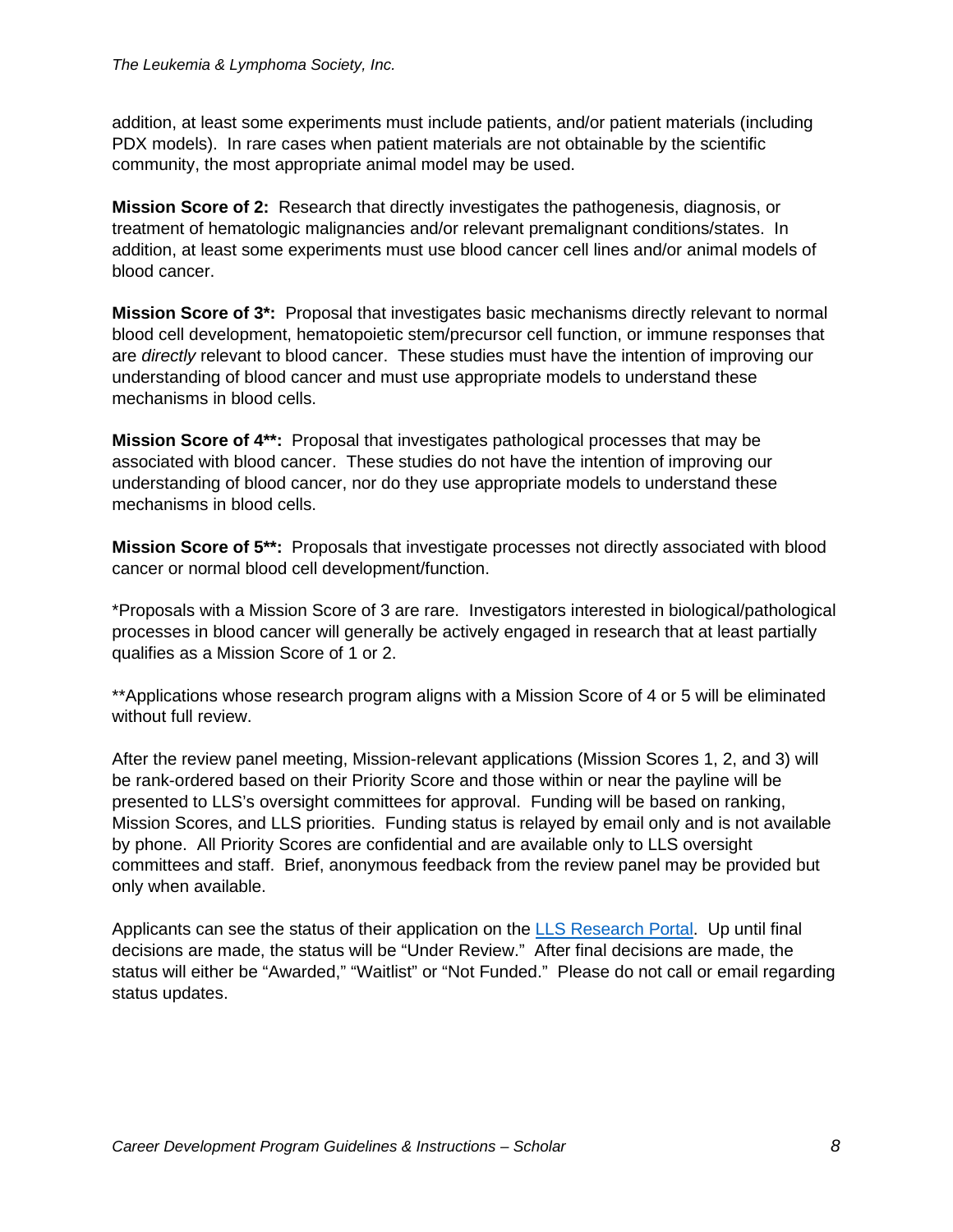addition, at least some experiments must include patients, and/or patient materials (including PDX models). In rare cases when patient materials are not obtainable by the scientific community, the most appropriate animal model may be used.

**Mission Score of 2:** Research that directly investigates the pathogenesis, diagnosis, or treatment of hematologic malignancies and/or relevant premalignant conditions/states. In addition, at least some experiments must use blood cancer cell lines and/or animal models of blood cancer.

**Mission Score of 3\*:** Proposal that investigates basic mechanisms directly relevant to normal blood cell development, hematopoietic stem/precursor cell function, or immune responses that are *directly* relevant to blood cancer. These studies must have the intention of improving our understanding of blood cancer and must use appropriate models to understand these mechanisms in blood cells.

**Mission Score of 4\*\*:** Proposal that investigates pathological processes that may be associated with blood cancer. These studies do not have the intention of improving our understanding of blood cancer, nor do they use appropriate models to understand these mechanisms in blood cells.

**Mission Score of 5\*\*:** Proposals that investigate processes not directly associated with blood cancer or normal blood cell development/function.

\*Proposals with a Mission Score of 3 are rare. Investigators interested in biological/pathological processes in blood cancer will generally be actively engaged in research that at least partially qualifies as a Mission Score of 1 or 2.

\*\*Applications whose research program aligns with a Mission Score of 4 or 5 will be eliminated without full review.

After the review panel meeting, Mission-relevant applications (Mission Scores 1, 2, and 3) will be rank-ordered based on their Priority Score and those within or near the payline will be presented to LLS's oversight committees for approval. Funding will be based on ranking, Mission Scores, and LLS priorities. Funding status is relayed by email only and is not available by phone. All Priority Scores are confidential and are available only to LLS oversight committees and staff. Brief, anonymous feedback from the review panel may be provided but only when available.

Applicants can see the status of their application on the **LLS** Research Portal. Up until final decisions are made, the status will be "Under Review." After final decisions are made, the status will either be "Awarded," "Waitlist" or "Not Funded." Please do not call or email regarding status updates.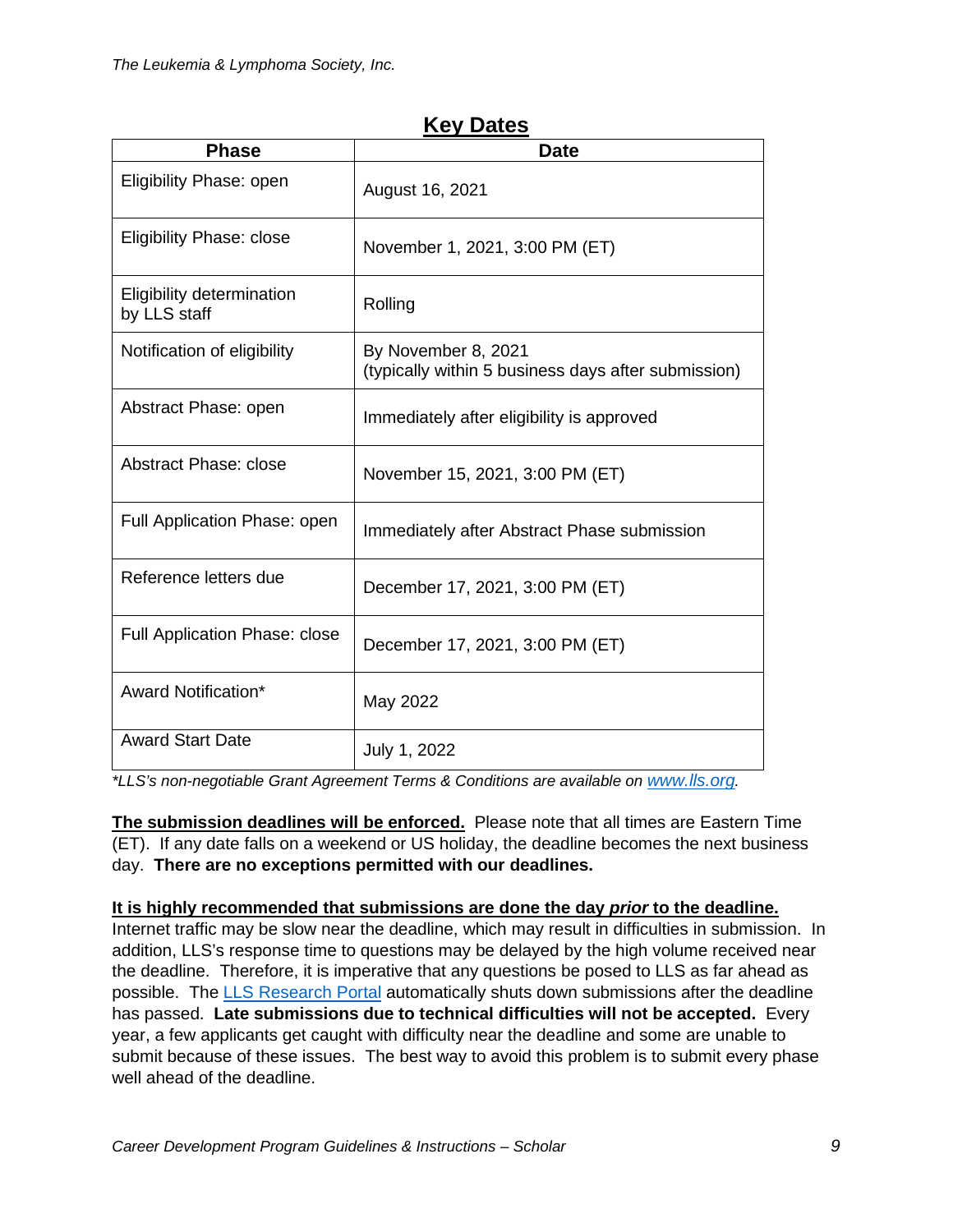| <b>Phase</b>                              | <b>Date</b>                                                                |
|-------------------------------------------|----------------------------------------------------------------------------|
| Eligibility Phase: open                   | August 16, 2021                                                            |
| <b>Eligibility Phase: close</b>           | November 1, 2021, 3:00 PM (ET)                                             |
| Eligibility determination<br>by LLS staff | Rolling                                                                    |
| Notification of eligibility               | By November 8, 2021<br>(typically within 5 business days after submission) |
| Abstract Phase: open                      | Immediately after eligibility is approved                                  |
| <b>Abstract Phase: close</b>              | November 15, 2021, 3:00 PM (ET)                                            |
| Full Application Phase: open              | Immediately after Abstract Phase submission                                |
| Reference letters due                     | December 17, 2021, 3:00 PM (ET)                                            |
| Full Application Phase: close             | December 17, 2021, 3:00 PM (ET)                                            |
| Award Notification*                       | May 2022                                                                   |
| <b>Award Start Date</b>                   | July 1, 2022                                                               |

# **Key Dates**

*\*LLS's non-negotiable Grant Agreement Terms & Conditions are available on [www.lls.org.](http://www.lls.org/)* 

**The submission deadlines will be enforced.** Please note that all times are Eastern Time (ET). If any date falls on a weekend or US holiday, the deadline becomes the next business day. **There are no exceptions permitted with our deadlines.**

#### **It is highly recommended that submissions are done the day** *prior* **to the deadline.**

Internet traffic may be slow near the deadline, which may result in difficulties in submission. In addition, LLS's response time to questions may be delayed by the high volume received near the deadline. Therefore, it is imperative that any questions be posed to LLS as far ahead as possible. The [LLS Research Portal](https://lls.fluxx.io/) automatically shuts down submissions after the deadline has passed. **Late submissions due to technical difficulties will not be accepted.** Every year, a few applicants get caught with difficulty near the deadline and some are unable to submit because of these issues. The best way to avoid this problem is to submit every phase well ahead of the deadline.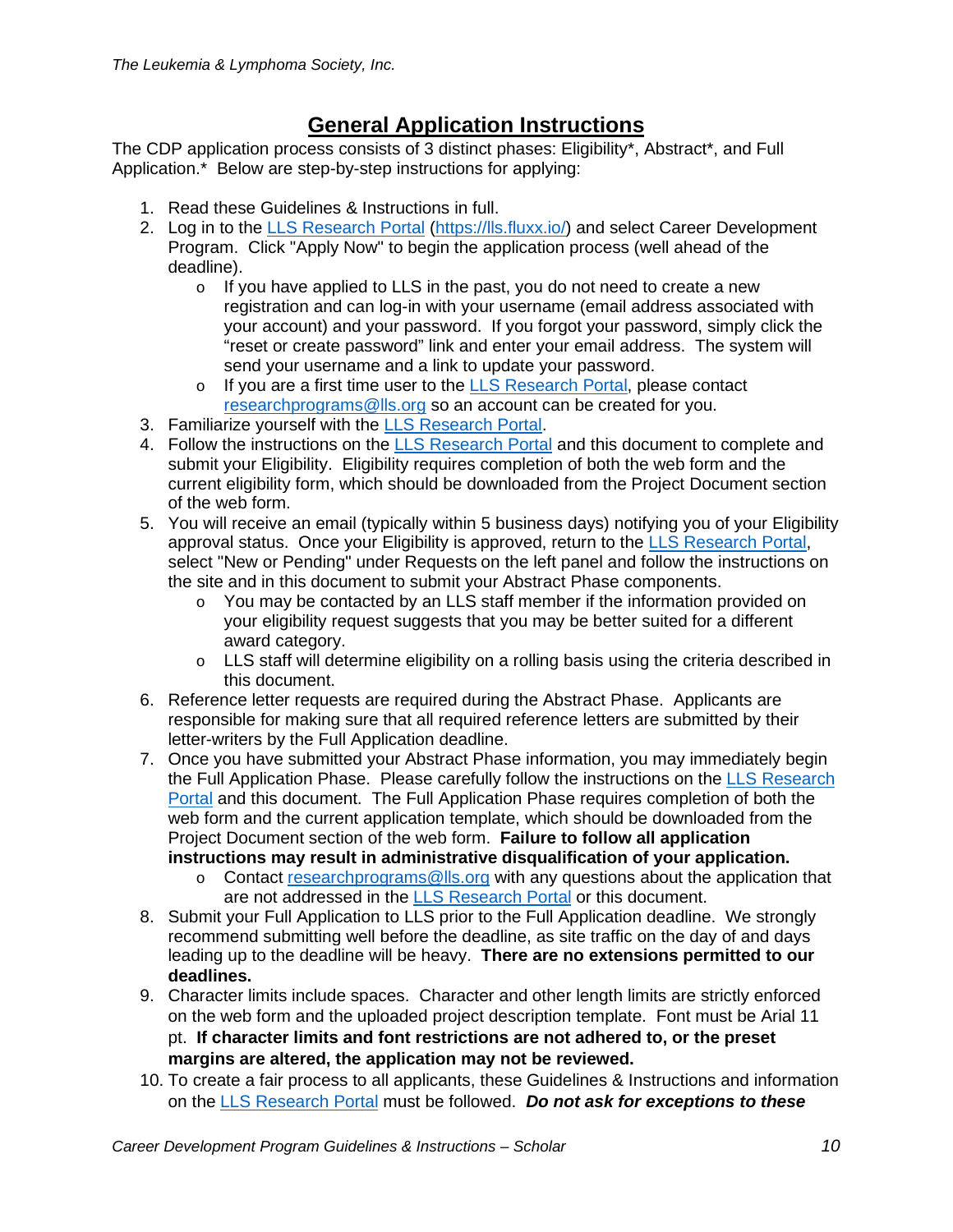# **General Application Instructions**

The CDP application process consists of 3 distinct phases: Eligibility\*, Abstract\*, and Full Application.\* Below are step-by-step instructions for applying:

- 1. Read these Guidelines & Instructions in full.
- 2. Log in to the LLS [Research](https://lls.fluxx.io/) Portal [\(https://lls.fluxx.io/\)](https://lls.fluxx.io/) and select Career Development Program. Click "Apply Now" to begin the application process (well ahead of the deadline).
	- $\circ$  If you have applied to LLS in the past, you do not need to create a new registration and can log-in with your username (email address associated with your account) and your password. If you forgot your password, simply click the "reset or create password" link and enter your email address. The system will send your username and a link to update your password.
	- o If you are a first time user to the [LLS Research Portal,](https://lls.fluxx.io/) please contact [researchprograms@lls.org](mailto:researchprograms@lls.org) so an account can be created for you.
- 3. Familiarize yourself with the [LLS Research Portal.](https://lls.fluxx.io/)
- 4. Follow the instructions on the [LLS Research Portal](https://lls.fluxx.io/) and this document to complete and submit your Eligibility. Eligibility requires completion of both the web form and the current eligibility form, which should be downloaded from the Project Document section of the web form.
- 5. You will receive an email (typically within 5 business days) notifying you of your Eligibility approval status. Once your Eligibility is approved, return to the [LLS Research Portal,](https://lls.fluxx.io/) select "New or Pending" under Requests on the left panel and follow the instructions on the site and in this document to submit your Abstract Phase components.
	- $\circ$  You may be contacted by an LLS staff member if the information provided on your eligibility request suggests that you may be better suited for a different award category.
	- o LLS staff will determine eligibility on a rolling basis using the criteria described in this document.
- 6. Reference letter requests are required during the Abstract Phase. Applicants are responsible for making sure that all required reference letters are submitted by their letter-writers by the Full Application deadline.
- 7. Once you have submitted your Abstract Phase information, you may immediately begin the Full Application Phase. Please carefully follow the instructions on the [LLS Research](https://lls.fluxx.io/)  [Portal](https://lls.fluxx.io/) and this document. The Full Application Phase requires completion of both the web form and the current application template, which should be downloaded from the Project Document section of the web form. **Failure to follow all application instructions may result in administrative disqualification of your application.**
	- o Contact [researchprograms@lls.org](mailto:researchprograms@lls.org) with any questions about the application that are not addressed in the [LLS Research Portal](https://lls.fluxx.io/) or this document.
- 8. Submit your Full Application to LLS prior to the Full Application deadline. We strongly recommend submitting well before the deadline, as site traffic on the day of and days leading up to the deadline will be heavy. **There are no extensions permitted to our deadlines.**
- 9. Character limits include spaces. Character and other length limits are strictly enforced on the web form and the uploaded project description template. Font must be Arial 11 pt. **If character limits and font restrictions are not adhered to, or the preset margins are altered, the application may not be reviewed.**
- 10. To create a fair process to all applicants, these Guidelines & Instructions and information on the [LLS Research Portal](https://lls.fluxx.io/) must be followed. *Do not ask for exceptions to these*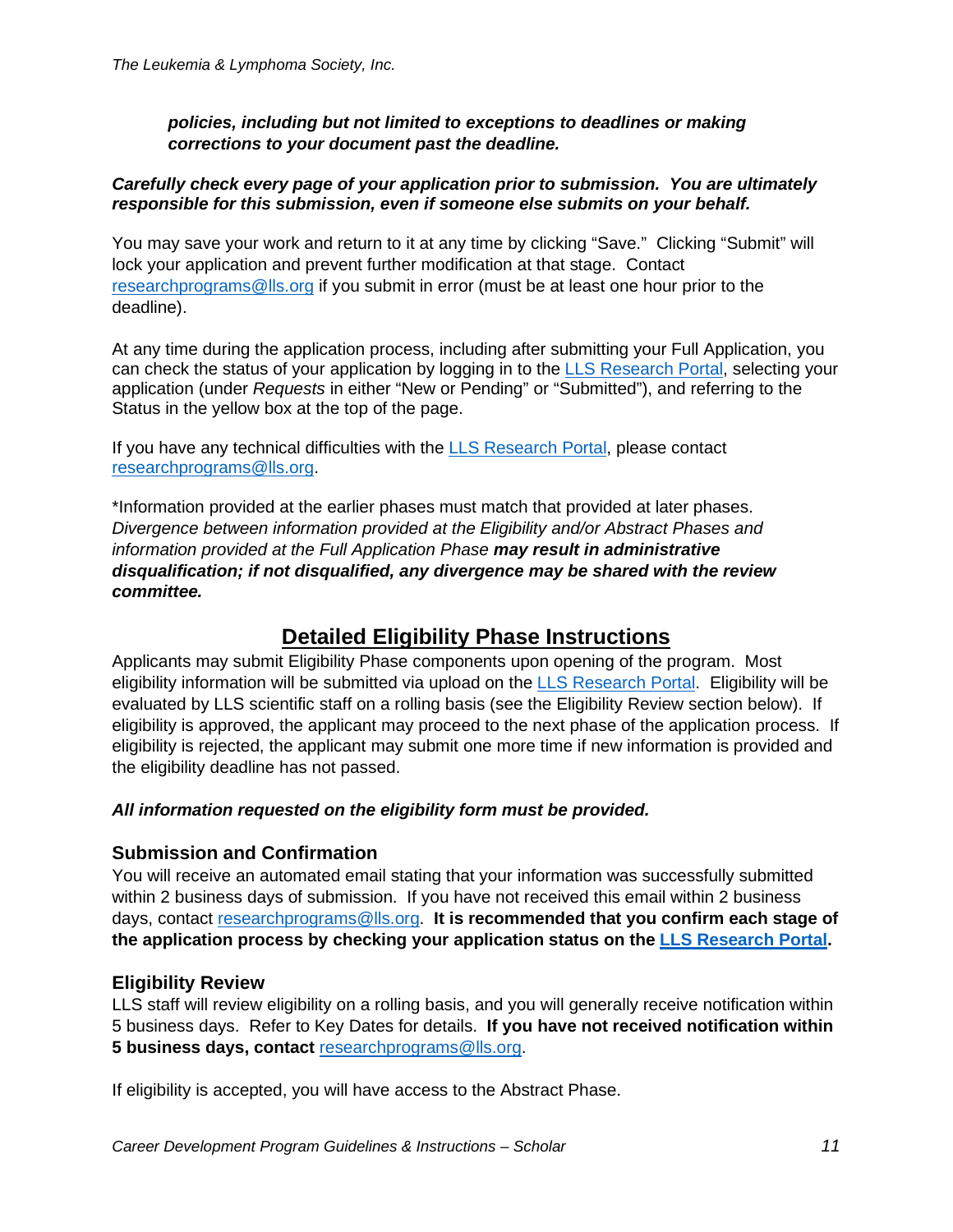#### *policies, including but not limited to exceptions to deadlines or making corrections to your document past the deadline.*

#### *Carefully check every page of your application prior to submission. You are ultimately responsible for this submission, even if someone else submits on your behalf.*

You may save your work and return to it at any time by clicking "Save." Clicking "Submit" will lock your application and prevent further modification at that stage. Contact [researchprograms@lls.org](mailto:researchprograms@lls.org) if you submit in error (must be at least one hour prior to the deadline).

At any time during the application process, including after submitting your Full Application, you can check the status of your application by logging in to the [LLS Research Portal,](https://lls.fluxx.io/) selecting your application (under *Requests* in either "New or Pending" or "Submitted"), and referring to the Status in the yellow box at the top of the page.

If you have any technical difficulties with the LLS [Research](https://lls.fluxx.io/) [Portal,](https://lls.fluxx.io/) please contact [researchprograms@lls.org.](mailto:researchprograms@lls.org)

\*Information provided at the earlier phases must match that provided at later phases. *Divergence between information provided at the Eligibility and/or Abstract Phases and information provided at the Full Application Phase may result in administrative disqualification; if not disqualified, any divergence may be shared with the review committee.*

# **Detailed Eligibility Phase Instructions**

Applicants may submit Eligibility Phase components upon opening of the program. Most eligibility information will be submitted via upload on the [LLS Research Portal.](https://lls.fluxx.io/) Eligibility will be evaluated by LLS scientific staff on a rolling basis (see the Eligibility Review section below). If eligibility is approved, the applicant may proceed to the next phase of the application process. If eligibility is rejected, the applicant may submit one more time if new information is provided and the eligibility deadline has not passed.

## *All information requested on the eligibility form must be provided.*

## **Submission and Confirmation**

You will receive an automated email stating that your information was successfully submitted within 2 business days of submission. If you have not received this email within 2 business days, contact [researchprograms@lls.org.](mailto:researchprograms@lls.org) **It is recommended that you confirm each stage of the application process by checking your application status on the [LLS Research Portal.](https://lls.fluxx.io/)**

## **Eligibility Review**

LLS staff will review eligibility on a rolling basis, and you will generally receive notification within 5 business days. Refer to Key Dates for details. **If you have not received notification within 5 business days, contact** [researchprograms@lls.org.](mailto:researchprograms@lls.org)

If eligibility is accepted, you will have access to the Abstract Phase.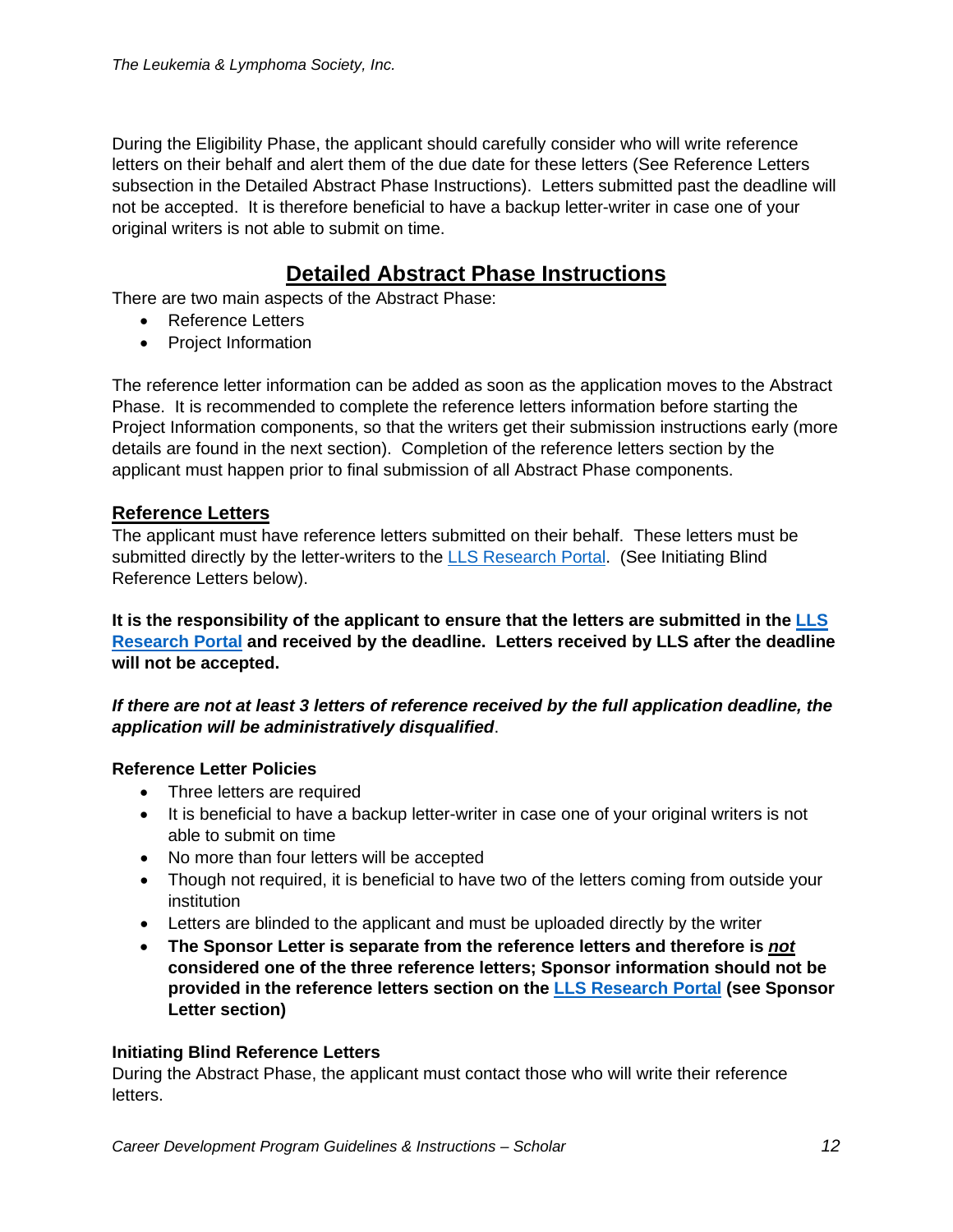During the Eligibility Phase, the applicant should carefully consider who will write reference letters on their behalf and alert them of the due date for these letters (See Reference Letters subsection in the Detailed Abstract Phase Instructions). Letters submitted past the deadline will not be accepted. It is therefore beneficial to have a backup letter-writer in case one of your original writers is not able to submit on time.

# **Detailed Abstract Phase Instructions**

There are two main aspects of the Abstract Phase:

- Reference Letters
- Project Information

The reference letter information can be added as soon as the application moves to the Abstract Phase. It is recommended to complete the reference letters information before starting the Project Information components, so that the writers get their submission instructions early (more details are found in the next section). Completion of the reference letters section by the applicant must happen prior to final submission of all Abstract Phase components.

## **Reference Letters**

The applicant must have reference letters submitted on their behalf. These letters must be submitted directly by the letter-writers to the [LLS Research Portal.](https://lls.fluxx.io/) (See Initiating Blind Reference Letters below).

**It is the responsibility of the applicant to ensure that the letters are submitted in the [LLS](https://lls.fluxx.io/)  [Research Portal](https://lls.fluxx.io/) and received by the deadline. Letters received by LLS after the deadline will not be accepted.**

#### *If there are not at least 3 letters of reference received by the full application deadline, the application will be administratively disqualified*.

## **Reference Letter Policies**

- Three letters are required
- It is beneficial to have a backup letter-writer in case one of your original writers is not able to submit on time
- No more than four letters will be accepted
- Though not required, it is beneficial to have two of the letters coming from outside your institution
- Letters are blinded to the applicant and must be uploaded directly by the writer
- **The Sponsor Letter is separate from the reference letters and therefore is** *not* **considered one of the three reference letters; Sponsor information should not be provided in the reference letters section on the [LLS Research Portal](https://lls.fluxx.io/) (see Sponsor Letter section)**

#### **Initiating Blind Reference Letters**

During the Abstract Phase, the applicant must contact those who will write their reference letters.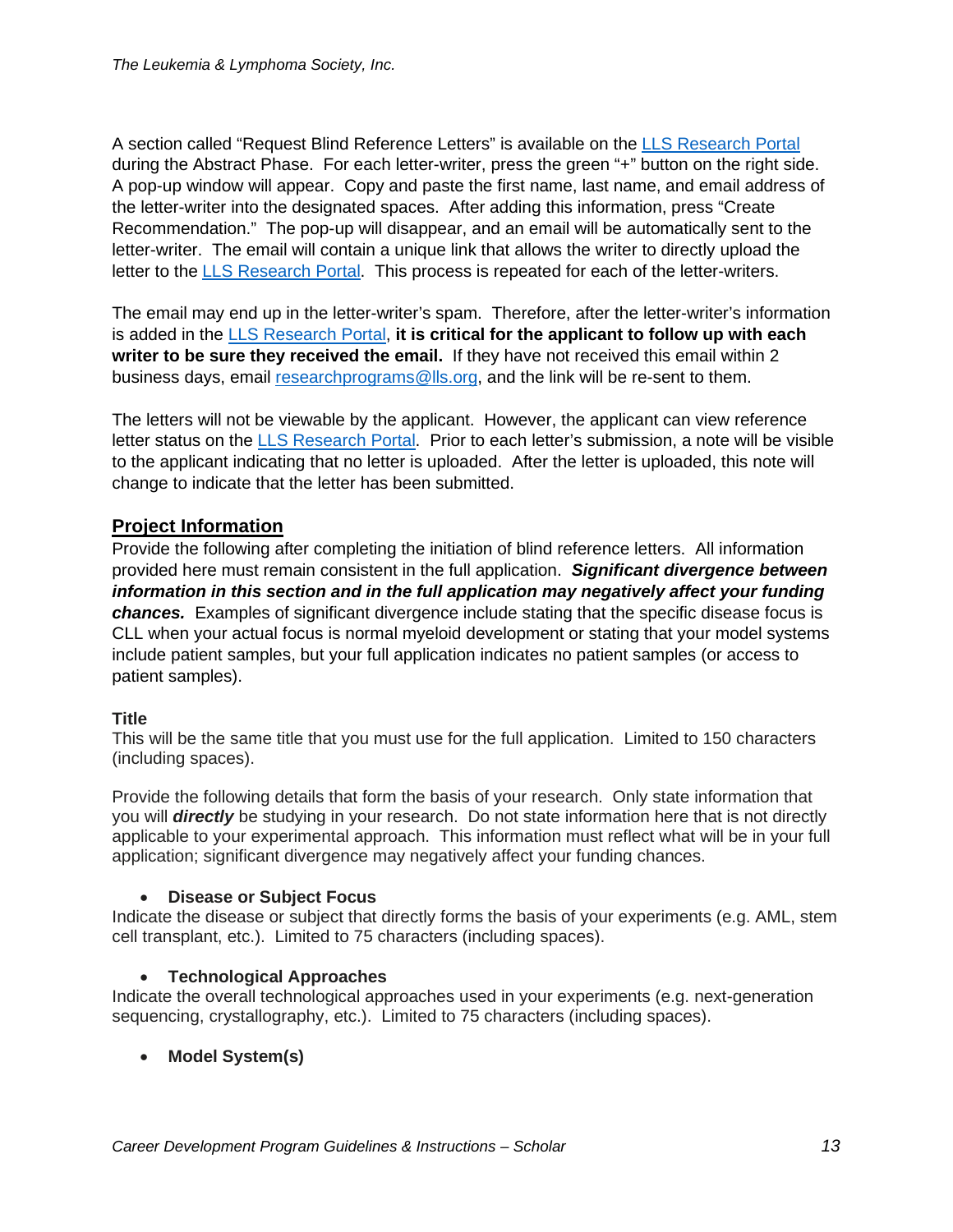A section called "Request Blind Reference Letters" is available on the [LLS Research Portal](https://lls.fluxx.io/) during the Abstract Phase. For each letter-writer, press the green "+" button on the right side. A pop-up window will appear. Copy and paste the first name, last name, and email address of the letter-writer into the designated spaces. After adding this information, press "Create Recommendation." The pop-up will disappear, and an email will be automatically sent to the letter-writer. The email will contain a unique link that allows the writer to directly upload the letter to the [LLS Research Portal.](https://lls.fluxx.io/) This process is repeated for each of the letter-writers.

The email may end up in the letter-writer's spam. Therefore, after the letter-writer's information is added in the [LLS Research Portal,](https://lls.fluxx.io/) **it is critical for the applicant to follow up with each writer to be sure they received the email.** If they have not received this email within 2 business days, email [researchprograms@lls.org,](mailto:researchprograms@lls.org) and the link will be re-sent to them.

The letters will not be viewable by the applicant. However, the applicant can view reference letter status on the [LLS Research Portal.](https://lls.fluxx.io/) Prior to each letter's submission, a note will be visible to the applicant indicating that no letter is uploaded. After the letter is uploaded, this note will change to indicate that the letter has been submitted.

# **Project Information**

Provide the following after completing the initiation of blind reference letters. All information provided here must remain consistent in the full application. *Significant divergence between information in this section and in the full application may negatively affect your funding chances.* Examples of significant divergence include stating that the specific disease focus is CLL when your actual focus is normal myeloid development or stating that your model systems include patient samples, but your full application indicates no patient samples (or access to patient samples).

## **Title**

This will be the same title that you must use for the full application. Limited to 150 characters (including spaces).

Provide the following details that form the basis of your research. Only state information that you will *directly* be studying in your research. Do not state information here that is not directly applicable to your experimental approach. This information must reflect what will be in your full application; significant divergence may negatively affect your funding chances.

## • **Disease or Subject Focus**

Indicate the disease or subject that directly forms the basis of your experiments (e.g. AML, stem cell transplant, etc.). Limited to 75 characters (including spaces).

## • **Technological Approaches**

Indicate the overall technological approaches used in your experiments (e.g. next-generation sequencing, crystallography, etc.). Limited to 75 characters (including spaces).

• **Model System(s)**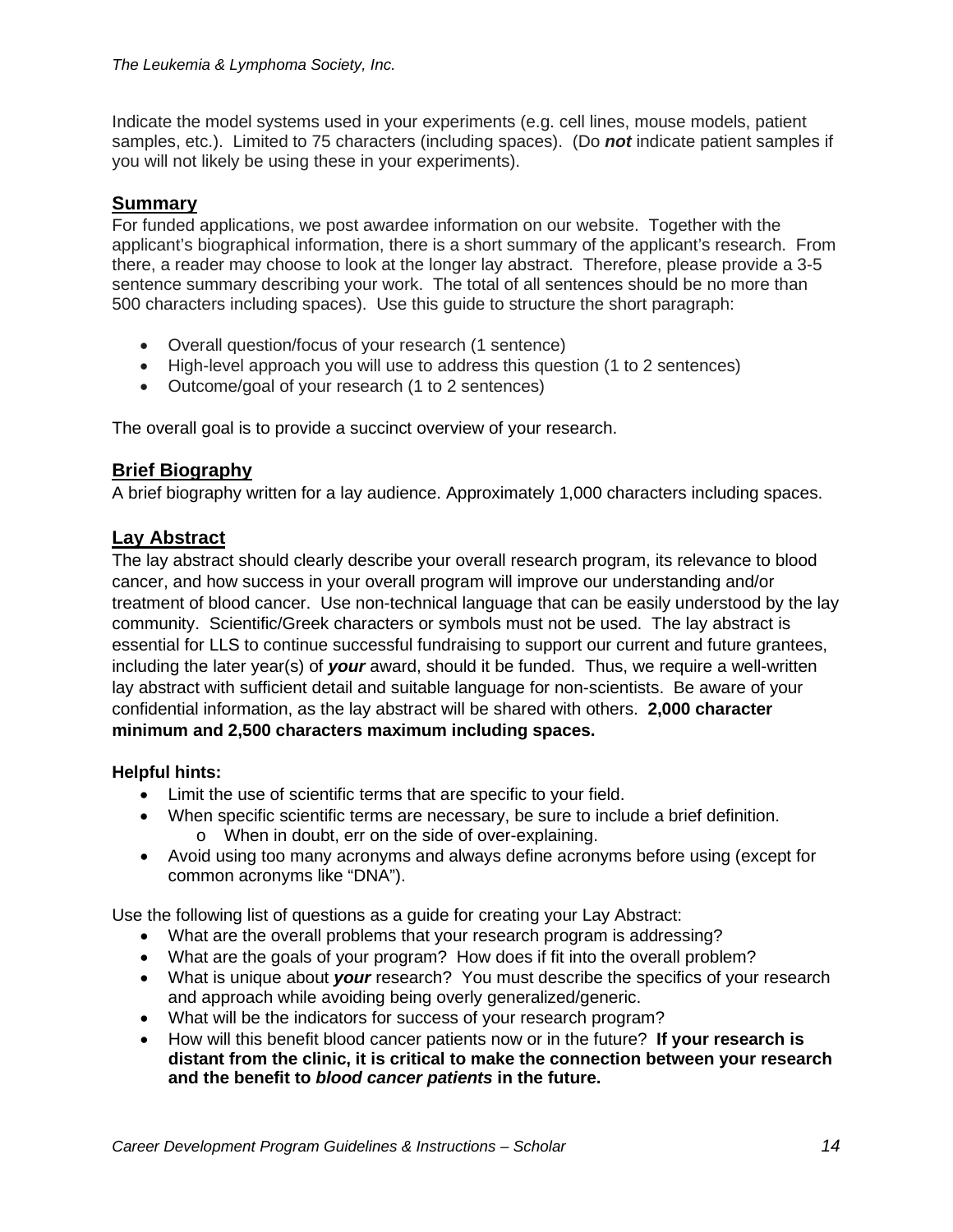Indicate the model systems used in your experiments (e.g. cell lines, mouse models, patient samples, etc.). Limited to 75 characters (including spaces). (Do *not* indicate patient samples if you will not likely be using these in your experiments).

# **Summary**

For funded applications, we post awardee information on our website. Together with the applicant's biographical information, there is a short summary of the applicant's research. From there, a reader may choose to look at the longer lay abstract. Therefore, please provide a 3-5 sentence summary describing your work. The total of all sentences should be no more than 500 characters including spaces). Use this guide to structure the short paragraph:

- Overall question/focus of your research (1 sentence)
- High-level approach you will use to address this question (1 to 2 sentences)
- Outcome/goal of your research (1 to 2 sentences)

The overall goal is to provide a succinct overview of your research.

## **Brief Biography**

A brief biography written for a lay audience. Approximately 1,000 characters including spaces.

# **Lay Abstract**

The lay abstract should clearly describe your overall research program, its relevance to blood cancer, and how success in your overall program will improve our understanding and/or treatment of blood cancer. Use non-technical language that can be easily understood by the lay community. Scientific/Greek characters or symbols must not be used. The lay abstract is essential for LLS to continue successful fundraising to support our current and future grantees, including the later year(s) of *your* award, should it be funded. Thus, we require a well-written lay abstract with sufficient detail and suitable language for non-scientists. Be aware of your confidential information, as the lay abstract will be shared with others. **2,000 character minimum and 2,500 characters maximum including spaces.**

## **Helpful hints:**

- Limit the use of scientific terms that are specific to your field.
- When specific scientific terms are necessary, be sure to include a brief definition. o When in doubt, err on the side of over-explaining.
- Avoid using too many acronyms and always define acronyms before using (except for common acronyms like "DNA").

Use the following list of questions as a guide for creating your Lay Abstract:

- What are the overall problems that your research program is addressing?
- What are the goals of your program? How does if fit into the overall problem?
- What is unique about *your* research? You must describe the specifics of your research and approach while avoiding being overly generalized/generic.
- What will be the indicators for success of your research program?
- How will this benefit blood cancer patients now or in the future? **If your research is distant from the clinic, it is critical to make the connection between your research and the benefit to** *blood cancer patients* **in the future.**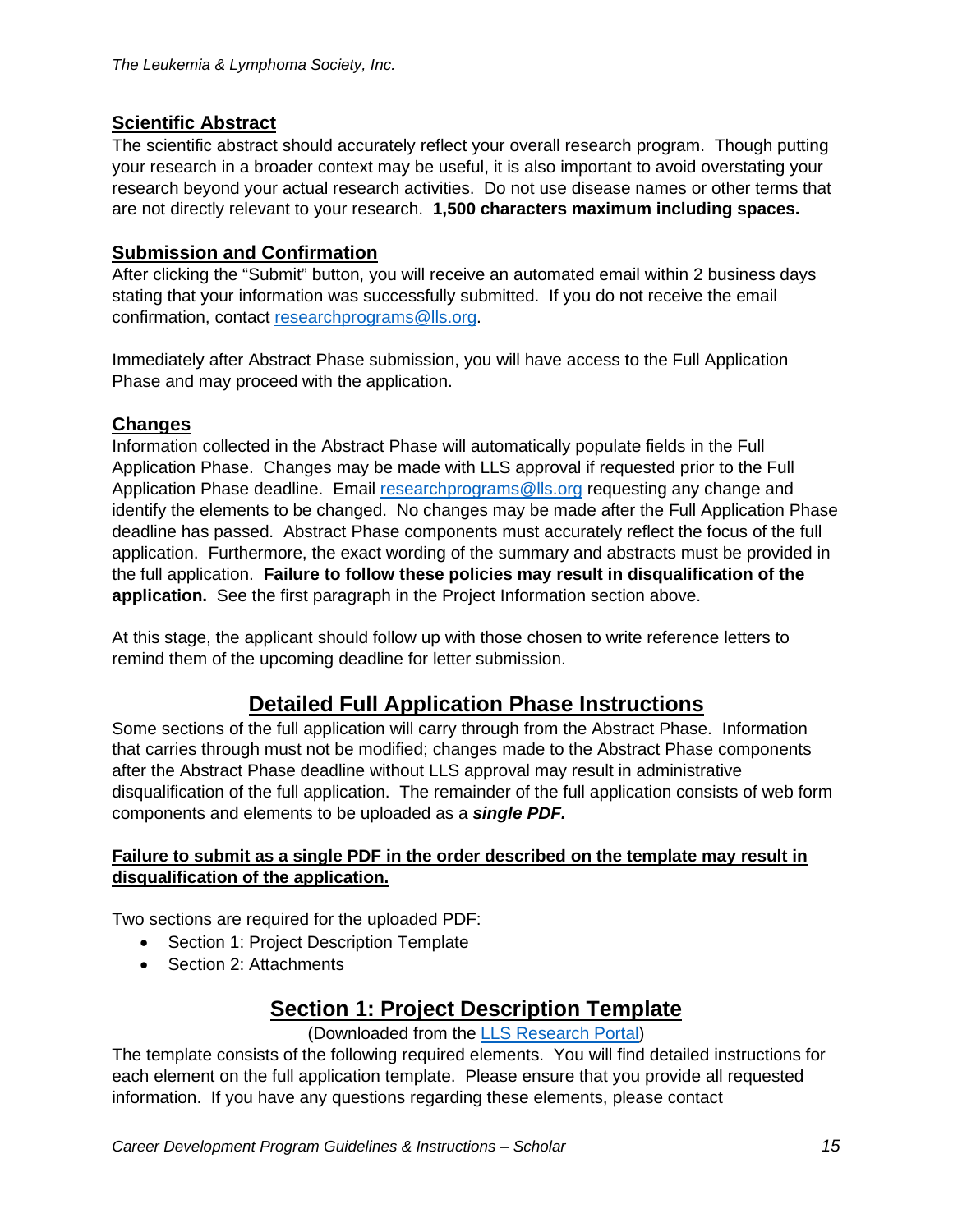# **Scientific Abstract**

The scientific abstract should accurately reflect your overall research program. Though putting your research in a broader context may be useful, it is also important to avoid overstating your research beyond your actual research activities. Do not use disease names or other terms that are not directly relevant to your research. **1,500 characters maximum including spaces.**

# **Submission and Confirmation**

After clicking the "Submit" button, you will receive an automated email within 2 business days stating that your information was successfully submitted. If you do not receive the email confirmation, contact [researchprograms@lls.org.](mailto:researchprograms@lls.org)

Immediately after Abstract Phase submission, you will have access to the Full Application Phase and may proceed with the application.

# **Changes**

Information collected in the Abstract Phase will automatically populate fields in the Full Application Phase. Changes may be made with LLS approval if requested prior to the Full Application Phase deadline. Email [researchprograms@lls.org](mailto:researchprograms@lls.org) requesting any change and identify the elements to be changed. No changes may be made after the Full Application Phase deadline has passed. Abstract Phase components must accurately reflect the focus of the full application. Furthermore, the exact wording of the summary and abstracts must be provided in the full application. **Failure to follow these policies may result in disqualification of the application.** See the first paragraph in the Project Information section above.

At this stage, the applicant should follow up with those chosen to write reference letters to remind them of the upcoming deadline for letter submission.

# **Detailed Full Application Phase Instructions**

Some sections of the full application will carry through from the Abstract Phase. Information that carries through must not be modified; changes made to the Abstract Phase components after the Abstract Phase deadline without LLS approval may result in administrative disqualification of the full application. The remainder of the full application consists of web form components and elements to be uploaded as a *single PDF.*

#### **Failure to submit as a single PDF in the order described on the template may result in disqualification of the application.**

Two sections are required for the uploaded PDF:

- Section 1: Project Description Template
- Section 2: Attachments

# **Section 1: Project Description Template**

## (Downloaded from the [LLS Research Portal\)](https://lls.fluxx.io/)

The template consists of the following required elements. You will find detailed instructions for each element on the full application template. Please ensure that you provide all requested information. If you have any questions regarding these elements, please contact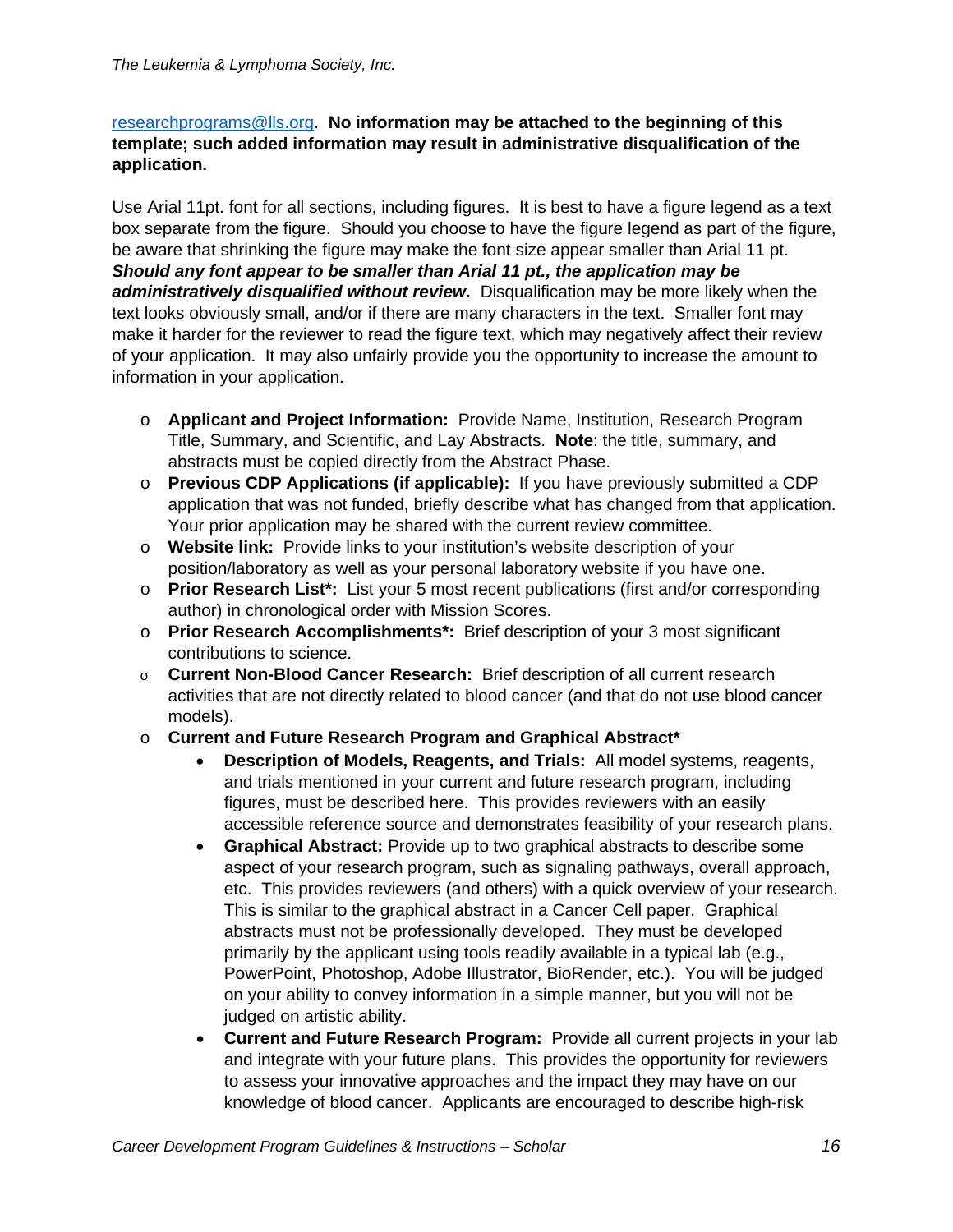#### [researchprograms@lls.org.](mailto:researchprograms@lls.org) **No information may be attached to the beginning of this template; such added information may result in administrative disqualification of the application.**

Use Arial 11pt. font for all sections, including figures. It is best to have a figure legend as a text box separate from the figure. Should you choose to have the figure legend as part of the figure, be aware that shrinking the figure may make the font size appear smaller than Arial 11 pt. *Should any font appear to be smaller than Arial 11 pt., the application may be administratively disqualified without review.* Disqualification may be more likely when the text looks obviously small, and/or if there are many characters in the text. Smaller font may make it harder for the reviewer to read the figure text, which may negatively affect their review of your application. It may also unfairly provide you the opportunity to increase the amount to information in your application.

- o **Applicant and Project Information:** Provide Name, Institution, Research Program Title, Summary, and Scientific, and Lay Abstracts. **Note**: the title, summary, and abstracts must be copied directly from the Abstract Phase.
- o **Previous CDP Applications (if applicable):** If you have previously submitted a CDP application that was not funded, briefly describe what has changed from that application. Your prior application may be shared with the current review committee.
- o **Website link:** Provide links to your institution's website description of your position/laboratory as well as your personal laboratory website if you have one.
- o **Prior Research List\*:** List your 5 most recent publications (first and/or corresponding author) in chronological order with Mission Scores.
- o **Prior Research Accomplishments\*:** Brief description of your 3 most significant contributions to science.
- o **Current Non-Blood Cancer Research:** Brief description of all current research activities that are not directly related to blood cancer (and that do not use blood cancer models).
- o **Current and Future Research Program and Graphical Abstract\***
	- **Description of Models, Reagents, and Trials:** All model systems, reagents, and trials mentioned in your current and future research program, including figures, must be described here. This provides reviewers with an easily accessible reference source and demonstrates feasibility of your research plans.
	- **Graphical Abstract:** Provide up to two graphical abstracts to describe some aspect of your research program, such as signaling pathways, overall approach, etc. This provides reviewers (and others) with a quick overview of your research. This is similar to the graphical abstract in a Cancer Cell paper. Graphical abstracts must not be professionally developed. They must be developed primarily by the applicant using tools readily available in a typical lab (e.g., PowerPoint, Photoshop, Adobe Illustrator, BioRender, etc.). You will be judged on your ability to convey information in a simple manner, but you will not be judged on artistic ability.
	- **Current and Future Research Program:** Provide all current projects in your lab and integrate with your future plans. This provides the opportunity for reviewers to assess your innovative approaches and the impact they may have on our knowledge of blood cancer. Applicants are encouraged to describe high-risk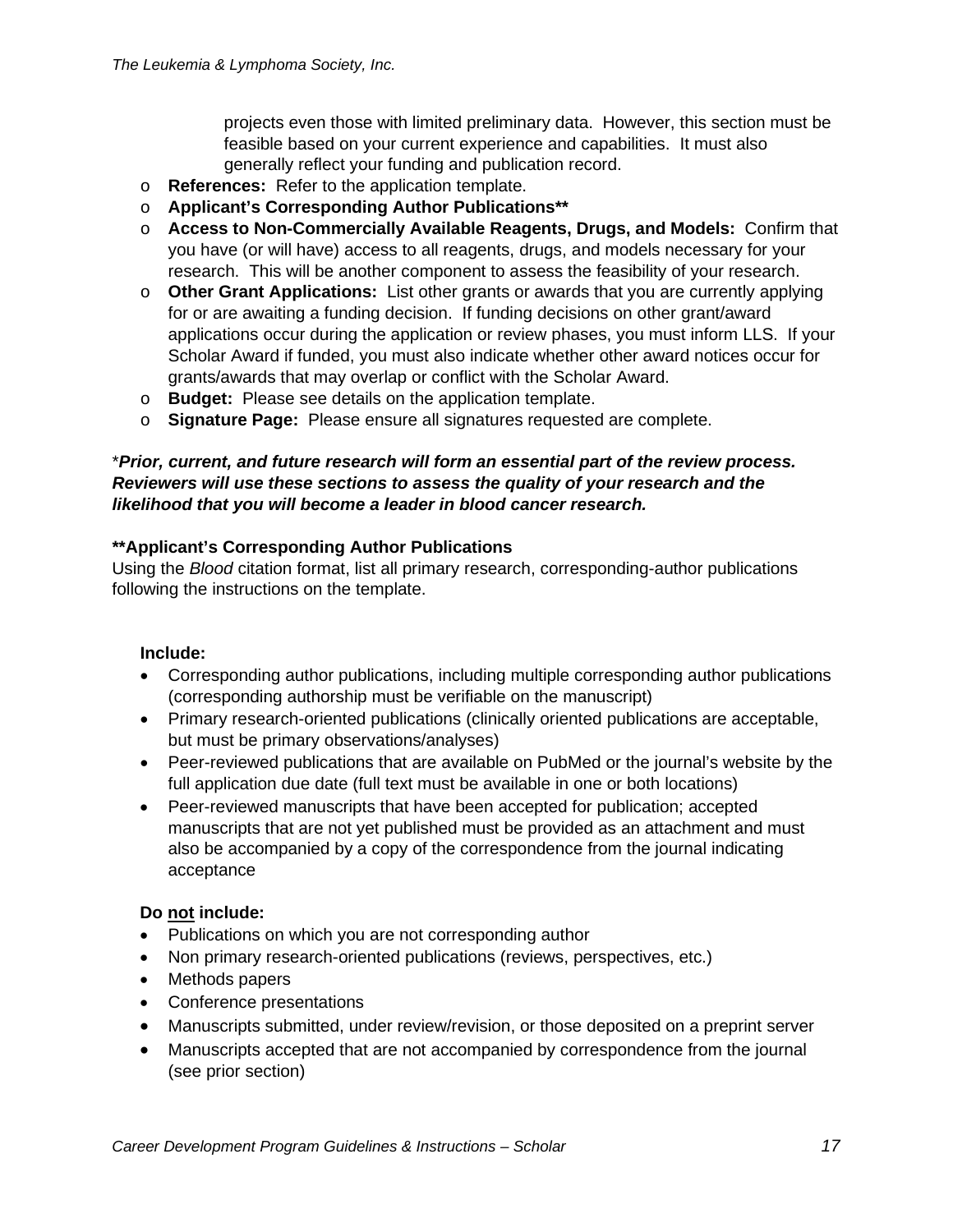projects even those with limited preliminary data. However, this section must be feasible based on your current experience and capabilities. It must also generally reflect your funding and publication record.

- o **References:** Refer to the application template.
- o **Applicant's Corresponding Author Publications\*\***
- o **Access to Non-Commercially Available Reagents, Drugs, and Models:** Confirm that you have (or will have) access to all reagents, drugs, and models necessary for your research. This will be another component to assess the feasibility of your research.
- o **Other Grant Applications:** List other grants or awards that you are currently applying for or are awaiting a funding decision. If funding decisions on other grant/award applications occur during the application or review phases, you must inform LLS. If your Scholar Award if funded, you must also indicate whether other award notices occur for grants/awards that may overlap or conflict with the Scholar Award.
- o **Budget:** Please see details on the application template.
- o **Signature Page:** Please ensure all signatures requested are complete.

## \**Prior, current, and future research will form an essential part of the review process. Reviewers will use these sections to assess the quality of your research and the likelihood that you will become a leader in blood cancer research.*

#### **\*\*Applicant's Corresponding Author Publications**

Using the *Blood* citation format, list all primary research, corresponding-author publications following the instructions on the template.

#### **Include:**

- Corresponding author publications, including multiple corresponding author publications (corresponding authorship must be verifiable on the manuscript)
- Primary research-oriented publications (clinically oriented publications are acceptable, but must be primary observations/analyses)
- Peer-reviewed publications that are available on PubMed or the journal's website by the full application due date (full text must be available in one or both locations)
- Peer-reviewed manuscripts that have been accepted for publication; accepted manuscripts that are not yet published must be provided as an attachment and must also be accompanied by a copy of the correspondence from the journal indicating acceptance

#### **Do not include:**

- Publications on which you are not corresponding author
- Non primary research-oriented publications (reviews, perspectives, etc.)
- Methods papers
- Conference presentations
- Manuscripts submitted, under review/revision, or those deposited on a preprint server
- Manuscripts accepted that are not accompanied by correspondence from the journal (see prior section)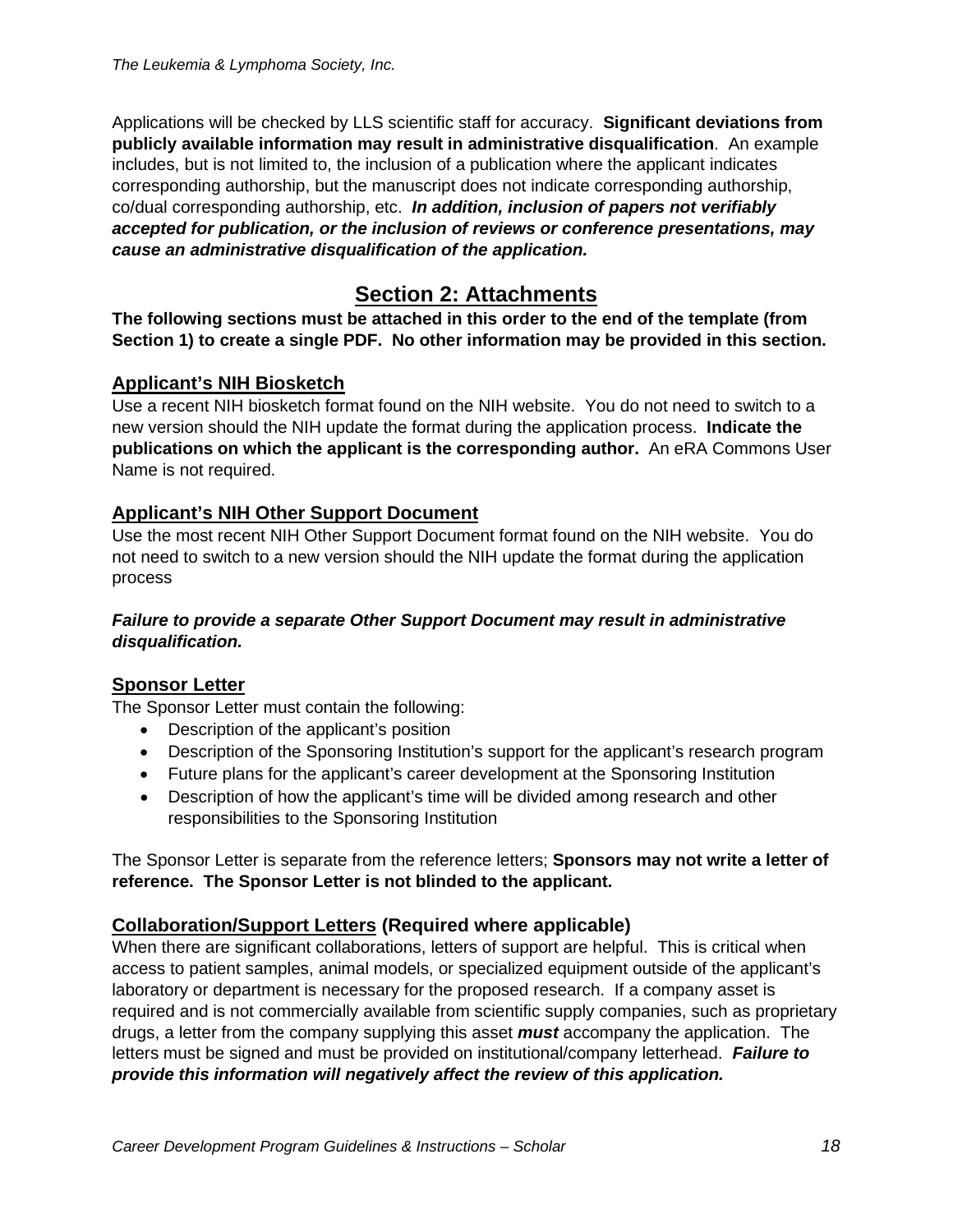Applications will be checked by LLS scientific staff for accuracy. **Significant deviations from publicly available information may result in administrative disqualification**. An example includes, but is not limited to, the inclusion of a publication where the applicant indicates corresponding authorship, but the manuscript does not indicate corresponding authorship, co/dual corresponding authorship, etc. *In addition, inclusion of papers not verifiably accepted for publication, or the inclusion of reviews or conference presentations, may cause an administrative disqualification of the application.*

# **Section 2: Attachments**

**The following sections must be attached in this order to the end of the template (from Section 1) to create a single PDF. No other information may be provided in this section.**

# **Applicant's NIH Biosketch**

Use a recent NIH biosketch format found on the NIH website. You do not need to switch to a new version should the NIH update the format during the application process. **Indicate the publications on which the applicant is the corresponding author.** An eRA Commons User Name is not required.

# **Applicant's NIH Other Support Document**

Use the most recent NIH Other Support Document format found on the NIH website. You do not need to switch to a new version should the NIH update the format during the application process

#### *Failure to provide a separate Other Support Document may result in administrative disqualification.*

## **Sponsor Letter**

The Sponsor Letter must contain the following:

- Description of the applicant's position
- Description of the Sponsoring Institution's support for the applicant's research program
- Future plans for the applicant's career development at the Sponsoring Institution
- Description of how the applicant's time will be divided among research and other responsibilities to the Sponsoring Institution

The Sponsor Letter is separate from the reference letters; **Sponsors may not write a letter of reference. The Sponsor Letter is not blinded to the applicant.**

## **Collaboration/Support Letters (Required where applicable)**

When there are significant collaborations, letters of support are helpful. This is critical when access to patient samples, animal models, or specialized equipment outside of the applicant's laboratory or department is necessary for the proposed research. If a company asset is required and is not commercially available from scientific supply companies, such as proprietary drugs, a letter from the company supplying this asset *must* accompany the application. The letters must be signed and must be provided on institutional/company letterhead. *Failure to provide this information will negatively affect the review of this application.*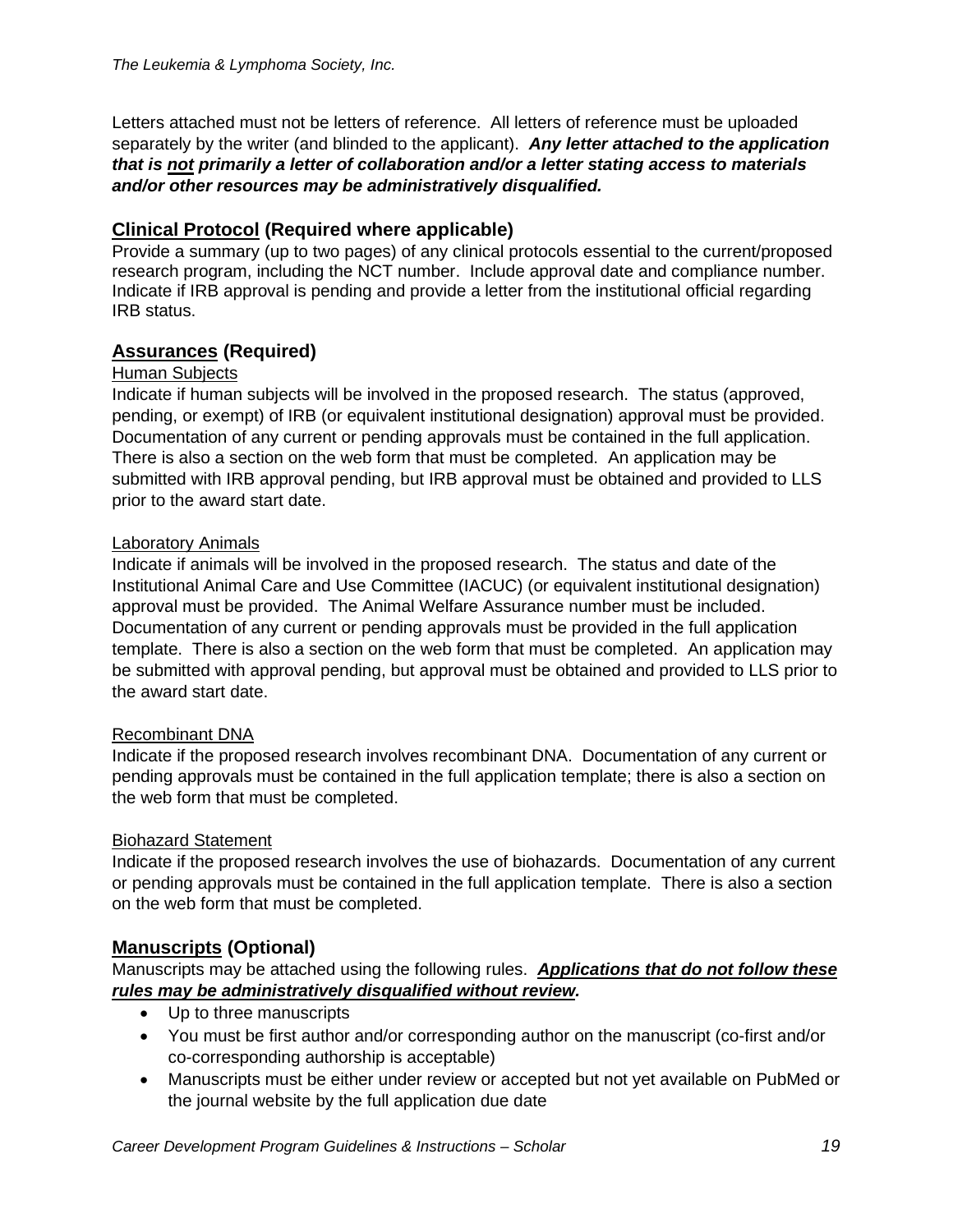Letters attached must not be letters of reference. All letters of reference must be uploaded separately by the writer (and blinded to the applicant). *Any letter attached to the application that is not primarily a letter of collaboration and/or a letter stating access to materials and/or other resources may be administratively disqualified.*

# **Clinical Protocol (Required where applicable)**

Provide a summary (up to two pages) of any clinical protocols essential to the current/proposed research program, including the NCT number. Include approval date and compliance number. Indicate if IRB approval is pending and provide a letter from the institutional official regarding IRB status.

# **Assurances (Required)**

#### Human Subjects

Indicate if human subjects will be involved in the proposed research. The status (approved, pending, or exempt) of IRB (or equivalent institutional designation) approval must be provided. Documentation of any current or pending approvals must be contained in the full application. There is also a section on the web form that must be completed. An application may be submitted with IRB approval pending, but IRB approval must be obtained and provided to LLS prior to the award start date.

#### Laboratory Animals

Indicate if animals will be involved in the proposed research. The status and date of the Institutional Animal Care and Use Committee (IACUC) (or equivalent institutional designation) approval must be provided. The Animal Welfare Assurance number must be included. Documentation of any current or pending approvals must be provided in the full application template. There is also a section on the web form that must be completed. An application may be submitted with approval pending, but approval must be obtained and provided to LLS prior to the award start date.

#### Recombinant DNA

Indicate if the proposed research involves recombinant DNA. Documentation of any current or pending approvals must be contained in the full application template; there is also a section on the web form that must be completed.

#### Biohazard Statement

Indicate if the proposed research involves the use of biohazards. Documentation of any current or pending approvals must be contained in the full application template. There is also a section on the web form that must be completed.

## **Manuscripts (Optional)**

Manuscripts may be attached using the following rules. *Applications that do not follow these rules may be administratively disqualified without review.*

- Up to three manuscripts
- You must be first author and/or corresponding author on the manuscript (co-first and/or co-corresponding authorship is acceptable)
- Manuscripts must be either under review or accepted but not yet available on PubMed or the journal website by the full application due date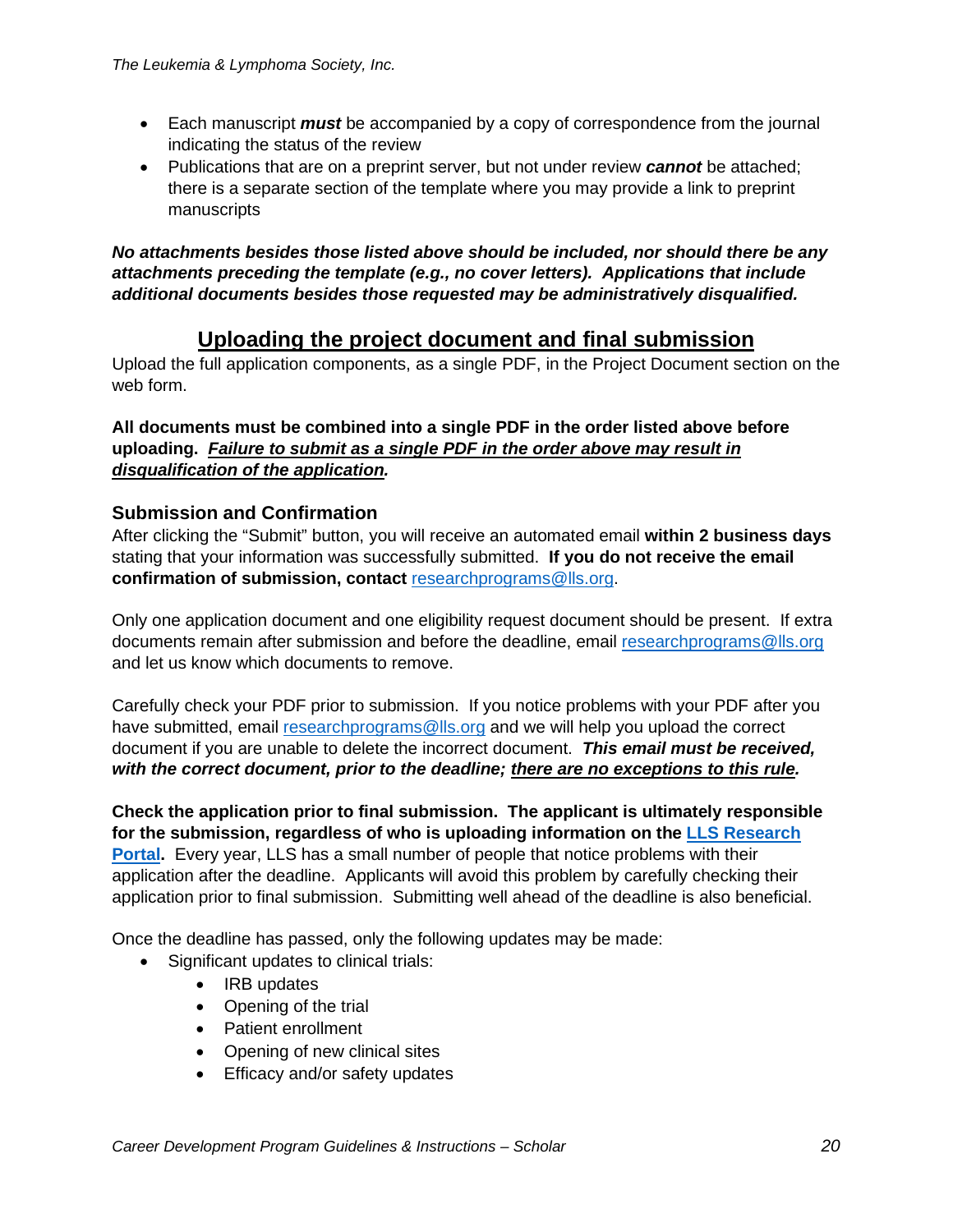- Each manuscript *must* be accompanied by a copy of correspondence from the journal indicating the status of the review
- Publications that are on a preprint server, but not under review *cannot* be attached; there is a separate section of the template where you may provide a link to preprint manuscripts

*No attachments besides those listed above should be included, nor should there be any attachments preceding the template (e.g., no cover letters). Applications that include additional documents besides those requested may be administratively disqualified.*

# **Uploading the project document and final submission**

Upload the full application components, as a single PDF, in the Project Document section on the web form.

**All documents must be combined into a single PDF in the order listed above before uploading.** *Failure to submit as a single PDF in the order above may result in disqualification of the application.*

## **Submission and Confirmation**

After clicking the "Submit" button, you will receive an automated email **within 2 business days** stating that your information was successfully submitted. **If you do not receive the email confirmation of submission, contact**[researchprograms@lls.org.](mailto:researchprograms@lls.org)

Only one application document and one eligibility request document should be present. If extra documents remain after submission and before the deadline, email [researchprograms@lls.org](mailto:researchprograms@lls.org) and let us know which documents to remove.

Carefully check your PDF prior to submission. If you notice problems with your PDF after you have submitted, email [researchprograms@lls.org](mailto:researchprograms@lls.org) and we will help you upload the correct document if you are unable to delete the incorrect document. *This email must be received, with the correct document, prior to the deadline; there are no exceptions to this rule.*

**Check the application prior to final submission. The applicant is ultimately responsible for the submission, regardless of who is uploading information on the [LLS Research](https://lls.fluxx.io/) [Portal.](https://lls.fluxx.io/)** Every year, LLS has a small number of people that notice problems with their application after the deadline. Applicants will avoid this problem by carefully checking their application prior to final submission. Submitting well ahead of the deadline is also beneficial.

Once the deadline has passed, only the following updates may be made:

- Significant updates to clinical trials:
	- IRB updates
	- Opening of the trial
	- Patient enrollment
	- Opening of new clinical sites
	- Efficacy and/or safety updates